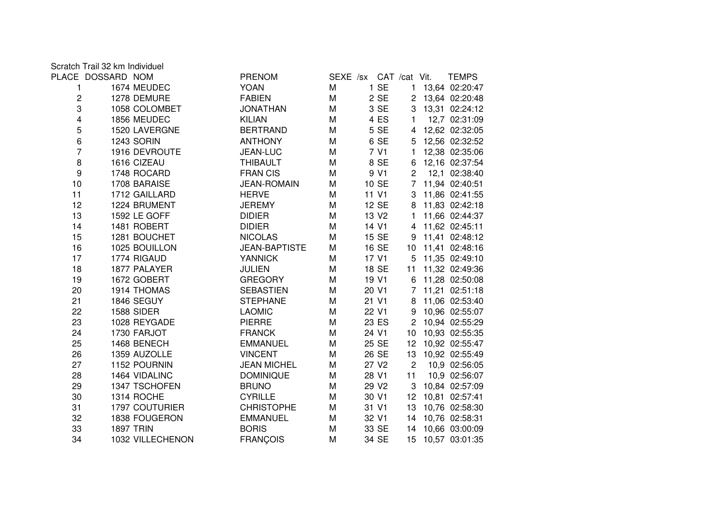|                         | PLACE DOSSARD NOM |                  | <b>PRENOM</b>        | SEXE /sx CAT /cat Vit. |                   |                | <b>TEMPS</b>      |
|-------------------------|-------------------|------------------|----------------------|------------------------|-------------------|----------------|-------------------|
| 1.                      |                   | 1674 MEUDEC      | <b>YOAN</b>          | M                      | 1 SE              | 1              | 13,64 02:20:47    |
| $\boldsymbol{2}$        |                   | 1278 DEMURE      | <b>FABIEN</b>        | M                      | 2 SE              |                | 2 13,64 02:20:48  |
| 3                       |                   | 1058 COLOMBET    | <b>JONATHAN</b>      | М                      | 3 SE              |                | 3 13,31 02:24:12  |
| $\overline{\mathbf{4}}$ |                   | 1856 MEUDEC      | <b>KILIAN</b>        | M                      | 4 ES              | 1              | 12,7 02:31:09     |
| 5                       |                   | 1520 LAVERGNE    | <b>BERTRAND</b>      | М                      | 5 SE              | 4              | 12,62 02:32:05    |
| $\,6\,$                 |                   | 1243 SORIN       | <b>ANTHONY</b>       | M                      | 6 SE              |                | 5 12,56 02:32:52  |
| $\overline{7}$          |                   | 1916 DEVROUTE    | JEAN-LUC             | M                      | 7 V1              | $\mathbf{1}$   | 12,38 02:35:06    |
| 8                       |                   | 1616 CIZEAU      | <b>THIBAULT</b>      | М                      | 8 SE              |                | 6 12,16 02:37:54  |
| $\boldsymbol{9}$        |                   | 1748 ROCARD      | <b>FRANCIS</b>       | M                      | 9 V1              | $\overline{2}$ | 12,1 02:38:40     |
| 10                      |                   | 1708 BARAISE     | <b>JEAN-ROMAIN</b>   | М                      | 10 SE             |                | 7 11,94 02:40:51  |
| 11                      |                   | 1712 GAILLARD    | <b>HERVE</b>         | М                      | 11 V1             | 3              | 11,86 02:41:55    |
| 12                      |                   | 1224 BRUMENT     | <b>JEREMY</b>        | M                      | 12 SE             | 8              | 11,83 02:42:18    |
| 13                      |                   | 1592 LE GOFF     | <b>DIDIER</b>        | М                      | 13 V <sub>2</sub> | 1              | 11,66 02:44:37    |
| 14                      |                   | 1481 ROBERT      | <b>DIDIER</b>        | M                      | 14 V1             | $\overline{4}$ | 11,62 02:45:11    |
| 15                      |                   | 1281 BOUCHET     | <b>NICOLAS</b>       | М                      | 15 SE             | 9              | 11,41 02:48:12    |
| 16                      |                   | 1025 BOUILLON    | <b>JEAN-BAPTISTE</b> | М                      | 16 SE             | 10             | 11,41 02:48:16    |
| 17                      |                   | 1774 RIGAUD      | <b>YANNICK</b>       | М                      | 17 V1             |                | 5 11,35 02:49:10  |
| 18                      |                   | 1877 PALAYER     | <b>JULIEN</b>        | М                      | 18 SE             | 11             | 11,32 02:49:36    |
| 19                      |                   | 1672 GOBERT      | <b>GREGORY</b>       | М                      | 19 V1             | 6              | 11,28 02:50:08    |
| 20                      |                   | 1914 THOMAS      | <b>SEBASTIEN</b>     | M                      | 20 V1             |                | 7 11,21 02:51:18  |
| 21                      |                   | 1846 SEGUY       | <b>STEPHANE</b>      | М                      | 21 V1             | 8              | 11,06 02:53:40    |
| 22                      |                   | 1588 SIDER       | <b>LAOMIC</b>        | M                      | 22 V1             | 9              | 10,96 02:55:07    |
| 23                      |                   | 1028 REYGADE     | <b>PIERRE</b>        | M                      | 23 ES             |                | 2 10,94 02:55:29  |
| 24                      |                   | 1730 FARJOT      | <b>FRANCK</b>        | М                      | 24 V1             | 10             | 10,93 02:55:35    |
| 25                      |                   | 1468 BENECH      | <b>EMMANUEL</b>      | М                      | 25 SE             | 12             | 10,92 02:55:47    |
| 26                      |                   | 1359 AUZOLLE     | <b>VINCENT</b>       | M                      | 26 SE             | 13             | 10,92 02:55:49    |
| 27                      |                   | 1152 POURNIN     | <b>JEAN MICHEL</b>   | М                      | 27 V <sub>2</sub> | $\overline{c}$ | 10,9 02:56:05     |
| 28                      |                   | 1464 VIDALINC    | <b>DOMINIQUE</b>     | M                      | 28 V1             | 11             | 10,9 02:56:07     |
| 29                      |                   | 1347 TSCHOFEN    | <b>BRUNO</b>         | M                      | 29 V <sub>2</sub> | 3              | 10,84 02:57:09    |
| 30                      |                   | 1314 ROCHE       | <b>CYRILLE</b>       | M                      | 30 V1             | 12             | 10,81 02:57:41    |
| 31                      |                   | 1797 COUTURIER   | <b>CHRISTOPHE</b>    | М                      | 31 V1             | 13             | 10,76 02:58:30    |
| 32                      |                   | 1838 FOUGERON    | <b>EMMANUEL</b>      | Μ                      | 32 V1             | 14             | 10,76 02:58:31    |
| 33                      |                   | <b>1897 TRIN</b> | <b>BORIS</b>         | М                      | 33 SE             | 14             | 10,66 03:00:09    |
| 34                      |                   | 1032 VILLECHENON | <b>FRANÇOIS</b>      | M                      | 34 SE             |                | 15 10,57 03:01:35 |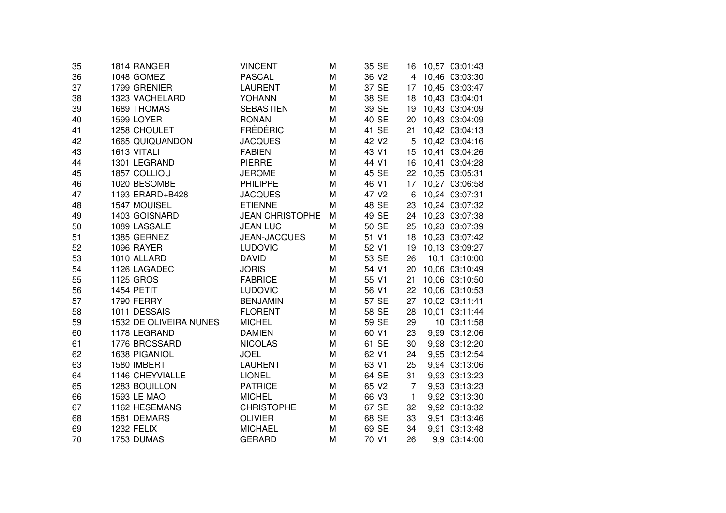| 35 | 1814 RANGER            | VINCENT                | M | 35 SE             |                 | 16 10,57 03:01:43 |
|----|------------------------|------------------------|---|-------------------|-----------------|-------------------|
| 36 | 1048 GOMEZ             | <b>PASCAL</b>          | M | 36 V <sub>2</sub> |                 | 4 10,46 03:03:30  |
| 37 | 1799 GRENIER           | <b>LAURENT</b>         | M | 37 SE             | 17              | 10,45 03:03:47    |
| 38 | 1323 VACHELARD         | YOHANN                 | M | 38 SE             | 18              | 10,43 03:04:01    |
| 39 | 1689 THOMAS            | <b>SEBASTIEN</b>       | M | 39 SE             | 19              | 10,43 03:04:09    |
| 40 | 1599 LOYER             | <b>RONAN</b>           | M | 40 SE             | 20              | 10,43 03:04:09    |
| 41 | 1258 CHOULET           | <b>FRÉDÉRIC</b>        | M | 41 SE             | 21              | 10,42 03:04:13    |
| 42 | 1665 QUIQUANDON        | <b>JACQUES</b>         | M | 42 V2             | 5               | 10,42 03:04:16    |
| 43 | 1613 VITALI            | <b>FABIEN</b>          | M | 43 V1             | 15              | 10,41 03:04:26    |
| 44 | 1301 LEGRAND           | <b>PIERRE</b>          | M | 44 V1             | 16              | 10,41 03:04:28    |
| 45 | 1857 COLLIOU           | <b>JEROME</b>          | M | 45 SE             |                 | 22 10,35 03:05:31 |
| 46 | 1020 BESOMBE           | <b>PHILIPPE</b>        | M | 46 V1             | 17 <sup>7</sup> | 10,27 03:06:58    |
| 47 | 1193 ERARD+B428        | <b>JACQUES</b>         | M | 47 V2             | 6               | 10,24 03:07:31    |
| 48 | 1547 MOUISEL           | <b>ETIENNE</b>         | M | 48 SE             | 23              | 10,24 03:07:32    |
| 49 | 1403 GOISNARD          | <b>JEAN CHRISTOPHE</b> | M | 49 SE             |                 | 24 10,23 03:07:38 |
| 50 | 1089 LASSALE           | <b>JEAN LUC</b>        | M | 50 SE             | 25              | 10,23 03:07:39    |
| 51 | 1385 GERNEZ            | JEAN-JACQUES           | M | 51 V1             | 18              | 10,23 03:07:42    |
| 52 | <b>1096 RAYER</b>      | <b>LUDOVIC</b>         | M | 52 V1             | 19              | 10,13 03:09:27    |
| 53 | 1010 ALLARD            | <b>DAVID</b>           | M | 53 SE             | 26              | 10,1 03:10:00     |
| 54 | 1126 LAGADEC           | <b>JORIS</b>           | M | 54 V1             | 20              | 10,06 03:10:49    |
| 55 | 1125 GROS              | <b>FABRICE</b>         | M | 55 V1             | 21              | 10,06 03:10:50    |
| 56 | 1454 PETIT             | <b>LUDOVIC</b>         | M | 56 V1             | 22              | 10,06 03:10:53    |
| 57 | 1790 FERRY             | <b>BENJAMIN</b>        | M | 57 SE             | 27              | 10,02 03:11:41    |
| 58 | 1011 DESSAIS           | <b>FLORENT</b>         | M | 58 SE             | 28              | 10,01 03:11:44    |
| 59 | 1532 DE OLIVEIRA NUNES | <b>MICHEL</b>          | M | 59 SE             | 29              | 10 03:11:58       |
| 60 | 1178 LEGRAND           | <b>DAMIEN</b>          | M | 60 V1             | 23              | 9,99 03:12:06     |
| 61 | 1776 BROSSARD          | <b>NICOLAS</b>         | M | 61 SE             | 30              | 9,98 03:12:20     |
| 62 | 1638 PIGANIOL          | <b>JOEL</b>            | M | 62 V1             | 24              | 9,95 03:12:54     |
| 63 | 1580 IMBERT            | <b>LAURENT</b>         | M | 63 V1             | 25              | 9,94 03:13:06     |
| 64 | 1146 CHEYVIALLE        | <b>LIONEL</b>          | M | 64 SE             | 31              | 9,93 03:13:23     |
| 65 | 1283 BOUILLON          | <b>PATRICE</b>         | M | 65 V2             | $\overline{7}$  | 9,93 03:13:23     |
| 66 | 1593 LE MAO            | <b>MICHEL</b>          | M | 66 V3             | $\mathbf{1}$    | 9,92 03:13:30     |
| 67 | 1162 HESEMANS          | <b>CHRISTOPHE</b>      | M | 67 SE             | 32              | 9,92 03:13:32     |
| 68 | 1581 DEMARS            | <b>OLIVIER</b>         | M | 68 SE             | 33              | 9,91 03:13:46     |
| 69 | 1232 FELIX             | <b>MICHAEL</b>         | M | 69 SE             | 34              | 9,91 03:13:48     |
| 70 | 1753 DUMAS             | <b>GERARD</b>          | M | 70 V1             | 26              | 9,9 03:14:00      |
|    |                        |                        |   |                   |                 |                   |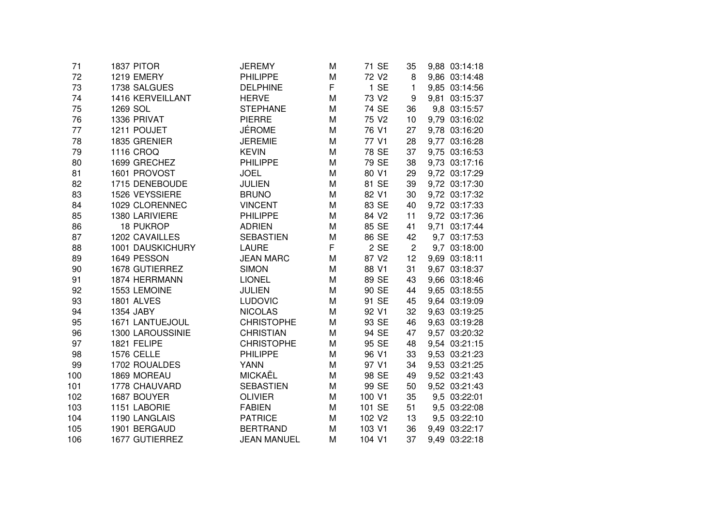| 1837 PITOR        | JEREMY                                                                                            | М                                                                  | 71 SE              | 35                                                  | 9,88 03:14:18 |
|-------------------|---------------------------------------------------------------------------------------------------|--------------------------------------------------------------------|--------------------|-----------------------------------------------------|---------------|
| 1219 EMERY        | <b>PHILIPPE</b>                                                                                   | M                                                                  | 72 V <sub>2</sub>  | 8                                                   | 9,86 03:14:48 |
| 1738 SALGUES      | <b>DELPHINE</b>                                                                                   | F                                                                  | 1 SE               | 1                                                   | 9,85 03:14:56 |
| 1416 KERVEILLANT  | <b>HERVE</b>                                                                                      | M                                                                  | 73 V2              | 9                                                   | 9,81 03:15:37 |
| 1269 SOL          | <b>STEPHANE</b>                                                                                   | M                                                                  | 74 SE              | 36                                                  | 9,8 03:15:57  |
| 1336 PRIVAT       | <b>PIERRE</b>                                                                                     | M                                                                  | 75 V2              | 10                                                  | 9,79 03:16:02 |
| 1211 POUJET       |                                                                                                   | M                                                                  | 76 V1              | 27                                                  | 9,78 03:16:20 |
| 1835 GRENIER      | <b>JEREMIE</b>                                                                                    | М                                                                  | 77 V1              | 28                                                  | 9,77 03:16:28 |
| 1116 CROQ         | <b>KEVIN</b>                                                                                      | M                                                                  | 78 SE              | 37                                                  | 9,75 03:16:53 |
| 1699 GRECHEZ      | <b>PHILIPPE</b>                                                                                   | М                                                                  | 79 SE              | 38                                                  | 9,73 03:17:16 |
| 1601 PROVOST      | <b>JOEL</b>                                                                                       | М                                                                  | 80 V1              | 29                                                  | 9,72 03:17:29 |
| 1715 DENEBOUDE    | <b>JULIEN</b>                                                                                     | М                                                                  | 81 SE              | 39                                                  | 9,72 03:17:30 |
| 1526 VEYSSIERE    | <b>BRUNO</b>                                                                                      | M                                                                  | 82 V1              | 30                                                  | 9,72 03:17:32 |
| 1029 CLORENNEC    | <b>VINCENT</b>                                                                                    | M                                                                  | 83 SE              | 40                                                  | 9,72 03:17:33 |
| 1380 LARIVIERE    | <b>PHILIPPE</b>                                                                                   | М                                                                  | 84 V2              | 11                                                  | 9,72 03:17:36 |
| <b>18 PUKROP</b>  | <b>ADRIEN</b>                                                                                     | M                                                                  | 85 SE              | 41                                                  | 9,71 03:17:44 |
| 1202 CAVAILLES    | <b>SEBASTIEN</b>                                                                                  | M                                                                  | 86 SE              | 42                                                  | 9,7 03:17:53  |
| 1001 DAUSKICHURY  | <b>LAURE</b>                                                                                      | F                                                                  | 2 SE               | $\overline{c}$                                      | 9,7 03:18:00  |
| 1649 PESSON       | <b>JEAN MARC</b>                                                                                  | M                                                                  | 87 V2              | 12                                                  | 9,69 03:18:11 |
| 1678 GUTIERREZ    | <b>SIMON</b>                                                                                      | M                                                                  | 88 V1              | 31                                                  | 9,67 03:18:37 |
| 1874 HERRMANN     | <b>LIONEL</b>                                                                                     | M                                                                  | 89 SE              | 43                                                  | 9,66 03:18:46 |
| 1553 LEMOINE      | <b>JULIEN</b>                                                                                     | М                                                                  | 90 SE              | 44                                                  | 9,65 03:18:55 |
| <b>1801 ALVES</b> | <b>LUDOVIC</b>                                                                                    | М                                                                  | 91 SE              | 45                                                  | 9,64 03:19:09 |
| 1354 JABY         | <b>NICOLAS</b>                                                                                    | M                                                                  | 92 V1              | 32                                                  | 9,63 03:19:25 |
| 1671 LANTUEJOUL   | <b>CHRISTOPHE</b>                                                                                 | M                                                                  | 93 SE              | 46                                                  | 9,63 03:19:28 |
| 1300 LAROUSSINIE  | <b>CHRISTIAN</b>                                                                                  | M                                                                  |                    | 47                                                  | 9,57 03:20:32 |
| 1821 FELIPE       | <b>CHRISTOPHE</b>                                                                                 | М                                                                  | 95 SE              | 48                                                  | 9,54 03:21:15 |
|                   | <b>PHILIPPE</b>                                                                                   | M                                                                  |                    | 33                                                  | 9,53 03:21:23 |
|                   |                                                                                                   | M                                                                  |                    | 34                                                  | 9,53 03:21:25 |
|                   |                                                                                                   | M                                                                  |                    | 49                                                  | 9,52 03:21:43 |
|                   |                                                                                                   | M                                                                  |                    | 50                                                  | 9,52 03:21:43 |
|                   | <b>OLIVIER</b>                                                                                    | М                                                                  |                    | 35                                                  | 9,5 03:22:01  |
| 1151 LABORIE      | <b>FABIEN</b>                                                                                     | М                                                                  | 101 SE             | 51                                                  | 9,5 03:22:08  |
| 1190 LANGLAIS     | <b>PATRICE</b>                                                                                    | м                                                                  | 102 V <sub>2</sub> | 13                                                  | 9,5 03:22:10  |
|                   | <b>BERTRAND</b>                                                                                   | М                                                                  | 103 V1             | 36                                                  | 9,49 03:22:17 |
| 1677 GUTIERREZ    | <b>JEAN MANUEL</b>                                                                                | M                                                                  | 104 V1             | 37                                                  | 9,49 03:22:18 |
|                   | <b>1576 CELLE</b><br>1702 ROUALDES<br>1869 MOREAU<br>1778 CHAUVARD<br>1687 BOUYER<br>1901 BERGAUD | <b>JÉROME</b><br><b>YANN</b><br><b>MICKAËL</b><br><b>SEBASTIEN</b> |                    | 94 SE<br>96 V1<br>97 V1<br>98 SE<br>99 SE<br>100 V1 |               |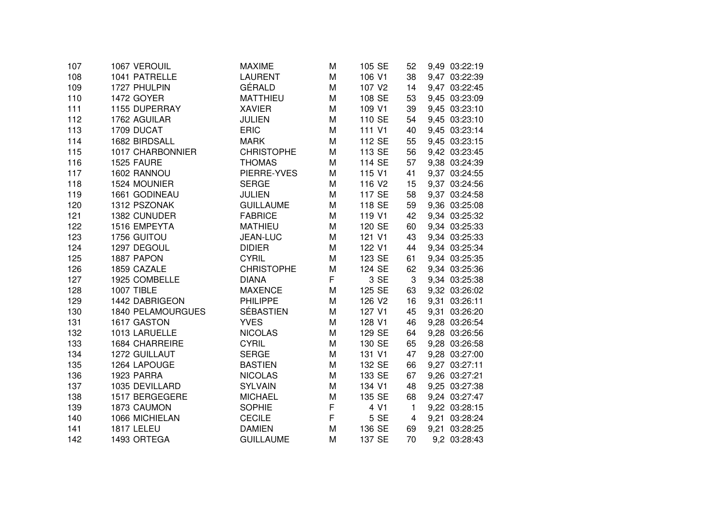| 107 | 1067 VEROUIL      | <b>MAXIME</b>     | М | 105 SE             | 52 | 9,49 03:22:19 |
|-----|-------------------|-------------------|---|--------------------|----|---------------|
| 108 | 1041 PATRELLE     | <b>LAURENT</b>    | M | 106 V1             | 38 | 9,47 03:22:39 |
| 109 | 1727 PHULPIN      | GÉRALD            | M | 107 V2             | 14 | 9,47 03:22:45 |
| 110 | 1472 GOYER        | <b>MATTHIEU</b>   | M | 108 SE             | 53 | 9,45 03:23:09 |
| 111 | 1155 DUPERRAY     | <b>XAVIER</b>     | М | 109 V1             | 39 | 9,45 03:23:10 |
| 112 | 1762 AGUILAR      | <b>JULIEN</b>     | M | 110 SE             | 54 | 9,45 03:23:10 |
| 113 | 1709 DUCAT        | <b>ERIC</b>       | М | 111 V1             | 40 | 9,45 03:23:14 |
| 114 | 1682 BIRDSALL     | <b>MARK</b>       | M | 112 SE             | 55 | 9,45 03:23:15 |
| 115 | 1017 CHARBONNIER  | <b>CHRISTOPHE</b> | M | 113 SE             | 56 | 9,42 03:23:45 |
| 116 | 1525 FAURE        | <b>THOMAS</b>     | М | 114 SE             | 57 | 9,38 03:24:39 |
| 117 | 1602 RANNOU       | PIERRE-YVES       | Μ | 115 V1             | 41 | 9,37 03:24:55 |
| 118 | 1524 MOUNIER      | <b>SERGE</b>      | M | 116 V <sub>2</sub> | 15 | 9,37 03:24:56 |
| 119 | 1661 GODINEAU     | <b>JULIEN</b>     | М | 117 SE             | 58 | 9,37 03:24:58 |
| 120 | 1312 PSZONAK      | <b>GUILLAUME</b>  | M | 118 SE             | 59 | 9,36 03:25:08 |
| 121 | 1382 CUNUDER      | <b>FABRICE</b>    | М | 119 V1             | 42 | 9,34 03:25:32 |
| 122 | 1516 EMPEYTA      | <b>MATHIEU</b>    | Μ | 120 SE             | 60 | 9,34 03:25:33 |
| 123 | 1756 GUITOU       | JEAN-LUC          | М | 121 V1             | 43 | 9,34 03:25:33 |
| 124 | 1297 DEGOUL       | <b>DIDIER</b>     | М | 122 V1             | 44 | 9,34 03:25:34 |
| 125 | 1887 PAPON        | <b>CYRIL</b>      | Μ | 123 SE             | 61 | 9,34 03:25:35 |
| 126 | 1859 CAZALE       | <b>CHRISTOPHE</b> | M | 124 SE             | 62 | 9,34 03:25:36 |
| 127 | 1925 COMBELLE     | <b>DIANA</b>      | F | 3 SE               | 3  | 9,34 03:25:38 |
| 128 | 1007 TIBLE        | <b>MAXENCE</b>    | M | 125 SE             | 63 | 9,32 03:26:02 |
| 129 | 1442 DABRIGEON    | <b>PHILIPPE</b>   | Μ | 126 V2             | 16 | 9,31 03:26:11 |
| 130 | 1840 PELAMOURGUES | <b>SÉBASTIEN</b>  | Μ | 127 V1             | 45 | 9,31 03:26:20 |
| 131 | 1617 GASTON       | <b>YVES</b>       | M | 128 V1             | 46 | 9,28 03:26:54 |
| 132 | 1013 LARUELLE     | <b>NICOLAS</b>    | М | 129 SE             | 64 | 9,28 03:26:56 |
| 133 | 1684 CHARREIRE    | <b>CYRIL</b>      | M | 130 SE             | 65 | 9,28 03:26:58 |
| 134 | 1272 GUILLAUT     | <b>SERGE</b>      | М | 131 V1             | 47 | 9,28 03:27:00 |
| 135 | 1264 LAPOUGE      | <b>BASTIEN</b>    | Μ | 132 SE             | 66 | 9,27 03:27:11 |
| 136 | 1923 PARRA        | <b>NICOLAS</b>    | М | 133 SE             | 67 | 9,26 03:27:21 |
| 137 | 1035 DEVILLARD    | <b>SYLVAIN</b>    | Μ | 134 V1             | 48 | 9,25 03:27:38 |
| 138 | 1517 BERGEGERE    | <b>MICHAEL</b>    | M | 135 SE             | 68 | 9,24 03:27:47 |
| 139 | 1873 CAUMON       | <b>SOPHIE</b>     | F | 4 V1               | 1  | 9,22 03:28:15 |
| 140 | 1066 MICHIELAN    | <b>CECILE</b>     | F | 5 SE               | 4  | 9,21 03:28:24 |
| 141 | 1817 LELEU        | <b>DAMIEN</b>     | Μ | 136 SE             | 69 | 9,21 03:28:25 |
| 142 | 1493 ORTEGA       | <b>GUILLAUME</b>  | M | 137 SE             | 70 | 9,2 03:28:43  |
|     |                   |                   |   |                    |    |               |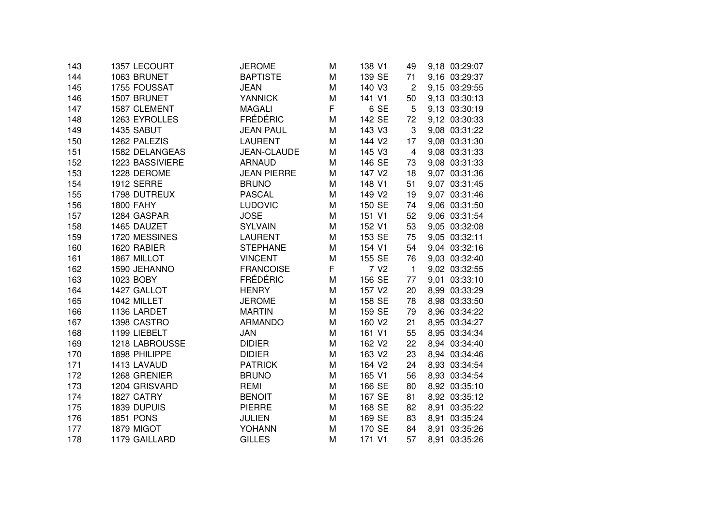| 143 | 1357 LECOURT      | <b>JEROME</b>      | M | 138 V1             | 49                        | 9,18 03:29:07 |
|-----|-------------------|--------------------|---|--------------------|---------------------------|---------------|
| 144 | 1063 BRUNET       | <b>BAPTISTE</b>    | М | 139 SE             | 71                        | 9,16 03:29:37 |
| 145 | 1755 FOUSSAT      | <b>JEAN</b>        | M | 140 V3             | $\overline{c}$            | 9,15 03:29:55 |
| 146 | 1507 BRUNET       | <b>YANNICK</b>     | M | 141 V1             | 50                        | 9,13 03:30:13 |
| 147 | 1587 CLEMENT      | <b>MAGALI</b>      | F | 6 SE               | 5                         | 9,13 03:30:19 |
| 148 | 1263 EYROLLES     | <b>FRÉDÉRIC</b>    | M | 142 SE             | 72                        | 9,12 03:30:33 |
| 149 | 1435 SABUT        | <b>JEAN PAUL</b>   | M | 143 V3             | $\ensuremath{\mathsf{3}}$ | 9,08 03:31:22 |
| 150 | 1262 PALEZIS      | <b>LAURENT</b>     | M | 144 V2             | 17                        | 9,08 03:31:30 |
| 151 | 1582 DELANGEAS    | JEAN-CLAUDE        | M | 145 V3             | $\overline{4}$            | 9,08 03:31:33 |
| 152 | 1223 BASSIVIERE   | <b>ARNAUD</b>      | M | 146 SE             | 73                        | 9,08 03:31:33 |
| 153 | 1228 DEROME       | <b>JEAN PIERRE</b> | М | 147 V <sub>2</sub> | 18                        | 9,07 03:31:36 |
| 154 | <b>1912 SERRE</b> | <b>BRUNO</b>       | М | 148 V1             | 51                        | 9,07 03:31:45 |
| 155 | 1798 DUTREUX      | <b>PASCAL</b>      | М | 149 V <sub>2</sub> | 19                        | 9,07 03:31:46 |
| 156 | <b>1800 FAHY</b>  | <b>LUDOVIC</b>     | М | 150 SE             | 74                        | 9,06 03:31:50 |
| 157 | 1284 GASPAR       | <b>JOSE</b>        | М | 151 V1             | 52                        | 9,06 03:31:54 |
| 158 | 1465 DAUZET       | <b>SYLVAIN</b>     | M | 152 V1             | 53                        | 9,05 03:32:08 |
| 159 | 1720 MESSINES     | <b>LAURENT</b>     | M | 153 SE             | 75                        | 9,05 03:32:11 |
| 160 | 1620 RABIER       | <b>STEPHANE</b>    | M | 154 V1             | 54                        | 9,04 03:32:16 |
| 161 | 1867 MILLOT       | <b>VINCENT</b>     | M | 155 SE             | 76                        | 9,03 03:32:40 |
| 162 | 1590 JEHANNO      | <b>FRANCOISE</b>   | F | 7 V <sub>2</sub>   | $\mathbf{1}$              | 9,02 03:32:55 |
| 163 | 1023 BOBY         | <b>FRÉDÉRIC</b>    | M | 156 SE             | 77                        | 9,01 03:33:10 |
| 164 | 1427 GALLOT       | <b>HENRY</b>       | M | 157 V2             | 20                        | 8,99 03:33:29 |
| 165 | 1042 MILLET       | <b>JEROME</b>      | M | 158 SE             | 78                        | 8,98 03:33:50 |
| 166 | 1136 LARDET       | <b>MARTIN</b>      | М | 159 SE             | 79                        | 8,96 03:34:22 |
| 167 | 1398 CASTRO       | <b>ARMANDO</b>     | M | 160 V <sub>2</sub> | 21                        | 8,95 03:34:27 |
| 168 | 1199 LIEBELT      | <b>JAN</b>         | M | 161 V1             | 55                        | 8,95 03:34:34 |
| 169 | 1218 LABROUSSE    | <b>DIDIER</b>      | М | 162 V <sub>2</sub> | 22                        | 8,94 03:34:40 |
| 170 | 1898 PHILIPPE     | <b>DIDIER</b>      | M | 163 V2             | 23                        | 8,94 03:34:46 |
| 171 | 1413 LAVAUD       | <b>PATRICK</b>     | М | 164 V2             | 24                        | 8,93 03:34:54 |
| 172 | 1268 GRENIER      | <b>BRUNO</b>       | M | 165 V1             | 56                        | 8,93 03:34:54 |
| 173 | 1204 GRISVARD     | <b>REMI</b>        | M | 166 SE             | 80                        | 8,92 03:35:10 |
| 174 | 1827 CATRY        | <b>BENOIT</b>      | М | 167 SE             | 81                        | 8,92 03:35:12 |
| 175 | 1839 DUPUIS       | <b>PIERRE</b>      | М | 168 SE             | 82                        | 8,91 03:35:22 |
| 176 | <b>1851 PONS</b>  | <b>JULIEN</b>      | М | 169 SE             | 83                        | 8,91 03:35:24 |
| 177 | 1879 MIGOT        | YOHANN             | М | 170 SE             | 84                        | 8,91 03:35:26 |
| 178 | 1179 GAILLARD     | <b>GILLES</b>      | M | 171 V1             | 57                        | 8,91 03:35:26 |
|     |                   |                    |   |                    |                           |               |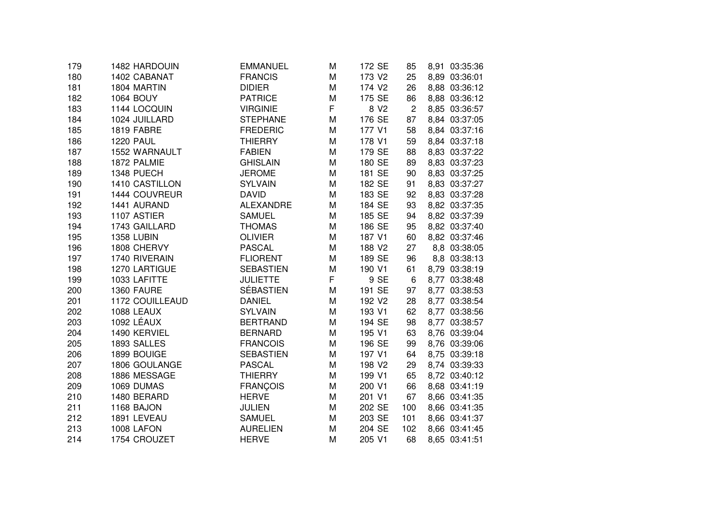| 179 | 1482 HARDOUIN     | <b>EMMANUEL</b>  | M | 172 SE             | 85             | 8,91 03:35:36 |
|-----|-------------------|------------------|---|--------------------|----------------|---------------|
| 180 | 1402 CABANAT      | <b>FRANCIS</b>   | M | 173 V2             | 25             | 8,89 03:36:01 |
| 181 | 1804 MARTIN       | <b>DIDIER</b>    | M | 174 V <sub>2</sub> | 26             | 8,88 03:36:12 |
| 182 | <b>1064 BOUY</b>  | <b>PATRICE</b>   | M | 175 SE             | 86             | 8,88 03:36:12 |
| 183 | 1144 LOCQUIN      | <b>VIRGINIE</b>  | F | 8 V <sub>2</sub>   | $\overline{2}$ | 8,85 03:36:57 |
| 184 | 1024 JUILLARD     | <b>STEPHANE</b>  | M | 176 SE             | 87             | 8,84 03:37:05 |
| 185 | 1819 FABRE        | <b>FREDERIC</b>  | M | 177 V1             | 58             | 8,84 03:37:16 |
| 186 | <b>1220 PAUL</b>  | <b>THIERRY</b>   | M | 178 V1             | 59             | 8,84 03:37:18 |
| 187 | 1552 WARNAULT     | <b>FABIEN</b>    | M | 179 SE             | 88             | 8,83 03:37:22 |
| 188 | 1872 PALMIE       | <b>GHISLAIN</b>  | M | 180 SE             | 89             | 8,83 03:37:23 |
| 189 | 1348 PUECH        | <b>JEROME</b>    | M | 181 SE             | 90             | 8,83 03:37:25 |
| 190 | 1410 CASTILLON    | <b>SYLVAIN</b>   | M | 182 SE             | 91             | 8,83 03:37:27 |
| 191 | 1444 COUVREUR     | <b>DAVID</b>     | M | 183 SE             | 92             | 8,83 03:37:28 |
| 192 | 1441 AURAND       | <b>ALEXANDRE</b> | M | 184 SE             | 93             | 8,82 03:37:35 |
| 193 | 1107 ASTIER       | <b>SAMUEL</b>    | M | 185 SE             | 94             | 8,82 03:37:39 |
| 194 | 1743 GAILLARD     | <b>THOMAS</b>    | M | 186 SE             | 95             | 8,82 03:37:40 |
| 195 | <b>1358 LUBIN</b> | <b>OLIVIER</b>   | M | 187 V1             | 60             | 8,82 03:37:46 |
| 196 | 1808 CHERVY       | <b>PASCAL</b>    | M | 188 V2             | 27             | 8,8 03:38:05  |
| 197 | 1740 RIVERAIN     | <b>FLIORENT</b>  | M | 189 SE             | 96             | 8,8 03:38:13  |
| 198 | 1270 LARTIGUE     | <b>SEBASTIEN</b> | М | 190 V1             | 61             | 8,79 03:38:19 |
| 199 | 1033 LAFITTE      | <b>JULIETTE</b>  | F | 9 SE               | 6              | 8,77 03:38:48 |
| 200 | 1360 FAURE        | <b>SÉBASTIEN</b> | M | 191 SE             | 97             | 8,77 03:38:53 |
| 201 | 1172 COUILLEAUD   | <b>DANIEL</b>    | M | 192 V <sub>2</sub> | 28             | 8,77 03:38:54 |
| 202 | 1088 LEAUX        | <b>SYLVAIN</b>   | M | 193 V1             | 62             | 8,77 03:38:56 |
| 203 | 1092 LÉAUX        | <b>BERTRAND</b>  | M | 194 SE             | 98             | 8,77 03:38:57 |
| 204 | 1490 KERVIEL      | <b>BERNARD</b>   | M | 195 V1             | 63             | 8,76 03:39:04 |
| 205 | 1893 SALLES       | <b>FRANCOIS</b>  | M | 196 SE             | 99             | 8,76 03:39:06 |
| 206 | 1899 BOUIGE       | <b>SEBASTIEN</b> | M | 197 V1             | 64             | 8,75 03:39:18 |
| 207 | 1806 GOULANGE     | <b>PASCAL</b>    | M | 198 V2             | 29             | 8,74 03:39:33 |
| 208 | 1886 MESSAGE      | <b>THIERRY</b>   | M | 199 V1             | 65             | 8,72 03:40:12 |
| 209 | 1069 DUMAS        | <b>FRANÇOIS</b>  | M | 200 V1             | 66             | 8,68 03:41:19 |
| 210 | 1480 BERARD       | <b>HERVE</b>     | М | 201 V1             | 67             | 8,66 03:41:35 |
| 211 | 1168 BAJON        | <b>JULIEN</b>    | M | 202 SE             | 100            | 8,66 03:41:35 |
| 212 | 1891 LEVEAU       | <b>SAMUEL</b>    | M | 203 SE             | 101            | 8,66 03:41:37 |
| 213 | 1008 LAFON        | <b>AURELIEN</b>  | M | 204 SE             | 102            | 8,66 03:41:45 |
| 214 | 1754 CROUZET      | <b>HERVE</b>     | M | 205 V1             | 68             | 8,65 03:41:51 |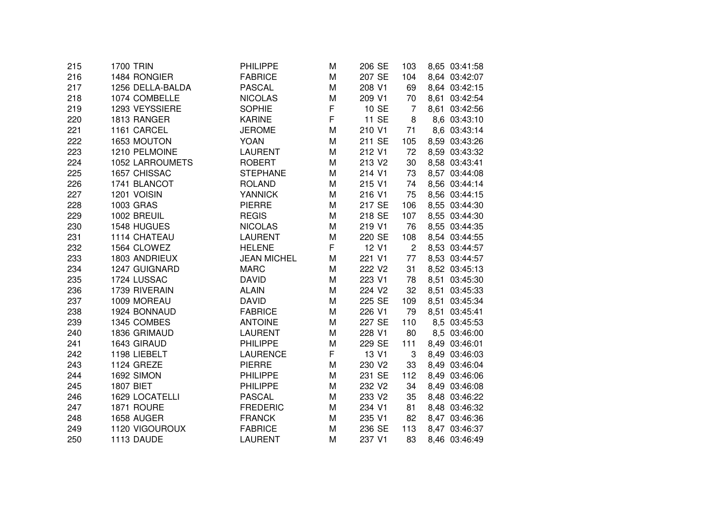| 215 | 1700 TRIN              | <b>PHILIPPE</b>    | M | 206 SE | 103            | 8,65 03:41:58 |
|-----|------------------------|--------------------|---|--------|----------------|---------------|
| 216 | 1484 RONGIER           | <b>FABRICE</b>     | M | 207 SE | 104            | 8,64 03:42:07 |
| 217 | 1256 DELLA-BALDA       | <b>PASCAL</b>      | M | 208 V1 | 69             | 8,64 03:42:15 |
| 218 | 1074 COMBELLE          | <b>NICOLAS</b>     | M | 209 V1 | 70             | 8,61 03:42:54 |
| 219 | 1293 VEYSSIERE         | <b>SOPHIE</b>      | F | 10 SE  | 7              | 8,61 03:42:56 |
| 220 | 1813 RANGER            | <b>KARINE</b>      | F | 11 SE  | 8              | 8,6 03:43:10  |
| 221 | 1161 CARCEL            | <b>JEROME</b>      | M | 210 V1 | 71             | 8,6 03:43:14  |
| 222 | 1653 MOUTON            | <b>YOAN</b>        | M | 211 SE | 105            | 8,59 03:43:26 |
| 223 | 1210 PELMOINE          | <b>LAURENT</b>     | M | 212 V1 | 72             | 8,59 03:43:32 |
| 224 | <b>1052 LARROUMETS</b> | <b>ROBERT</b>      | M | 213 V2 | 30             | 8,58 03:43:41 |
| 225 | 1657 CHISSAC           | <b>STEPHANE</b>    | M | 214 V1 | 73             | 8,57 03:44:08 |
| 226 | 1741 BLANCOT           | <b>ROLAND</b>      | M | 215 V1 | 74             | 8,56 03:44:14 |
| 227 | 1201 VOISIN            | <b>YANNICK</b>     | M | 216 V1 | 75             | 8,56 03:44:15 |
| 228 | 1003 GRAS              | <b>PIERRE</b>      | M | 217 SE | 106            | 8,55 03:44:30 |
| 229 | 1002 BREUIL            | <b>REGIS</b>       | M | 218 SE | 107            | 8,55 03:44:30 |
| 230 | 1548 HUGUES            | <b>NICOLAS</b>     | M | 219 V1 | 76             | 8,55 03:44:35 |
| 231 | 1114 CHATEAU           | <b>LAURENT</b>     | M | 220 SE | 108            | 8,54 03:44:55 |
| 232 | 1564 CLOWEZ            | <b>HELENE</b>      | F | 12 V1  | $\overline{c}$ | 8,53 03:44:57 |
| 233 | 1803 ANDRIEUX          | <b>JEAN MICHEL</b> | M | 221 V1 | 77             | 8,53 03:44:57 |
| 234 | 1247 GUIGNARD          | <b>MARC</b>        | M | 222 V2 | 31             | 8,52 03:45:13 |
| 235 | 1724 LUSSAC            | <b>DAVID</b>       | M | 223 V1 | 78             | 8,51 03:45:30 |
| 236 | 1739 RIVERAIN          | <b>ALAIN</b>       | M | 224 V2 | 32             | 8,51 03:45:33 |
| 237 | 1009 MOREAU            | <b>DAVID</b>       | M | 225 SE | 109            | 8,51 03:45:34 |
| 238 | 1924 BONNAUD           | <b>FABRICE</b>     | M | 226 V1 | 79             | 8,51 03:45:41 |
| 239 | 1345 COMBES            | <b>ANTOINE</b>     | M | 227 SE | 110            | 8,5 03:45:53  |
| 240 | 1836 GRIMAUD           | <b>LAURENT</b>     | M | 228 V1 | 80             | 8,5 03:46:00  |
| 241 | 1643 GIRAUD            | <b>PHILIPPE</b>    | M | 229 SE | 111            | 8,49 03:46:01 |
| 242 | 1198 LIEBELT           | <b>LAURENCE</b>    | F | 13 V1  | 3              | 8,49 03:46:03 |
| 243 | 1124 GREZE             | <b>PIERRE</b>      | M | 230 V2 | 33             | 8,49 03:46:04 |
| 244 | 1692 SIMON             | <b>PHILIPPE</b>    | M | 231 SE | 112            | 8,49 03:46:06 |
| 245 | <b>1807 BIET</b>       | <b>PHILIPPE</b>    | M | 232 V2 | 34             | 8,49 03:46:08 |
| 246 | 1629 LOCATELLI         | <b>PASCAL</b>      | M | 233 V2 | 35             | 8,48 03:46:22 |
| 247 | 1871 ROURE             | <b>FREDERIC</b>    | M | 234 V1 | 81             | 8,48 03:46:32 |
| 248 | 1658 AUGER             | <b>FRANCK</b>      | М | 235 V1 | 82             | 8,47 03:46:36 |
| 249 | 1120 VIGOUROUX         | <b>FABRICE</b>     | M | 236 SE | 113            | 8,47 03:46:37 |
| 250 | 1113 DAUDE             | <b>LAURENT</b>     | M | 237 V1 | 83             | 8,46 03:46:49 |
|     |                        |                    |   |        |                |               |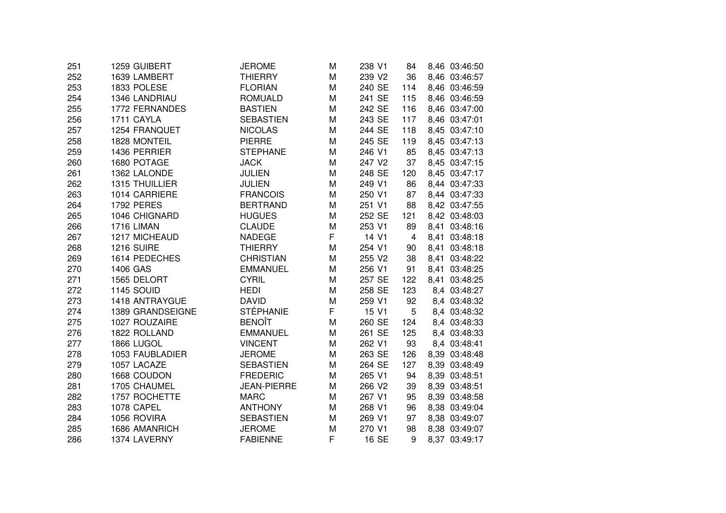| 251 | 1259 GUIBERT      | <b>JEROME</b>      | M | 238 V1 | 84             | 8,46 03:46:50 |
|-----|-------------------|--------------------|---|--------|----------------|---------------|
| 252 | 1639 LAMBERT      | <b>THIERRY</b>     | M | 239 V2 | 36             | 8,46 03:46:57 |
| 253 | 1833 POLESE       | <b>FLORIAN</b>     | M | 240 SE | 114            | 8,46 03:46:59 |
| 254 | 1346 LANDRIAU     | <b>ROMUALD</b>     | M | 241 SE | 115            | 8,46 03:46:59 |
| 255 | 1772 FERNANDES    | <b>BASTIEN</b>     | M | 242 SE | 116            | 8,46 03:47:00 |
| 256 | 1711 CAYLA        | <b>SEBASTIEN</b>   | M | 243 SE | 117            | 8,46 03:47:01 |
| 257 | 1254 FRANQUET     | <b>NICOLAS</b>     | M | 244 SE | 118            | 8,45 03:47:10 |
| 258 | 1828 MONTEIL      | <b>PIERRE</b>      | M | 245 SE | 119            | 8,45 03:47:13 |
| 259 | 1436 PERRIER      | <b>STEPHANE</b>    | M | 246 V1 | 85             | 8,45 03:47:13 |
| 260 | 1680 POTAGE       | <b>JACK</b>        | M | 247 V2 | 37             | 8,45 03:47:15 |
| 261 | 1362 LALONDE      | <b>JULIEN</b>      | M | 248 SE | 120            | 8,45 03:47:17 |
| 262 | 1315 THUILLIER    | <b>JULIEN</b>      | M | 249 V1 | 86             | 8,44 03:47:33 |
| 263 | 1014 CARRIERE     | <b>FRANCOIS</b>    | M | 250 V1 | 87             | 8,44 03:47:33 |
| 264 | <b>1792 PERES</b> | <b>BERTRAND</b>    | M | 251 V1 | 88             | 8,42 03:47:55 |
| 265 | 1046 CHIGNARD     | <b>HUGUES</b>      | M | 252 SE | 121            | 8,42 03:48:03 |
| 266 | 1716 LIMAN        | <b>CLAUDE</b>      | M | 253 V1 | 89             | 8,41 03:48:16 |
| 267 | 1217 MICHEAUD     | <b>NADEGE</b>      | F | 14 V1  | $\overline{4}$ | 8,41 03:48:18 |
| 268 | 1216 SUIRE        | <b>THIERRY</b>     | M | 254 V1 | 90             | 8,41 03:48:18 |
| 269 | 1614 PEDECHES     | <b>CHRISTIAN</b>   | M | 255 V2 | 38             | 8,41 03:48:22 |
| 270 | 1406 GAS          | <b>EMMANUEL</b>    | M | 256 V1 | 91             | 8,41 03:48:25 |
| 271 | 1565 DELORT       | <b>CYRIL</b>       | M | 257 SE | 122            | 8,41 03:48:25 |
| 272 | 1145 SOUID        | <b>HEDI</b>        | M | 258 SE | 123            | 8,4 03:48:27  |
| 273 | 1418 ANTRAYGUE    | <b>DAVID</b>       | M | 259 V1 | 92             | 8,4 03:48:32  |
| 274 | 1389 GRANDSEIGNE  | <b>STÉPHANIE</b>   | F | 15 V1  | 5              | 8,4 03:48:32  |
| 275 | 1027 ROUZAIRE     | <b>BENOÎT</b>      | M | 260 SE | 124            | 8,4 03:48:33  |
| 276 | 1822 ROLLAND      | <b>EMMANUEL</b>    | M | 261 SE | 125            | 8,4 03:48:33  |
| 277 | 1866 LUGOL        | <b>VINCENT</b>     | M | 262 V1 | 93             | 8,4 03:48:41  |
| 278 | 1053 FAUBLADIER   | <b>JEROME</b>      | M | 263 SE | 126            | 8,39 03:48:48 |
| 279 | 1057 LACAZE       | <b>SEBASTIEN</b>   | M | 264 SE | 127            | 8,39 03:48:49 |
| 280 | 1668 COUDON       | <b>FREDERIC</b>    | M | 265 V1 | 94             | 8,39 03:48:51 |
| 281 | 1705 CHAUMEL      | <b>JEAN-PIERRE</b> | M | 266 V2 | 39             | 8,39 03:48:51 |
| 282 | 1757 ROCHETTE     | <b>MARC</b>        | M | 267 V1 | 95             | 8,39 03:48:58 |
| 283 | 1078 CAPEL        | <b>ANTHONY</b>     | M | 268 V1 | 96             | 8,38 03:49:04 |
| 284 | 1056 ROVIRA       | <b>SEBASTIEN</b>   | M | 269 V1 | 97             | 8,38 03:49:07 |
| 285 | 1686 AMANRICH     | <b>JEROME</b>      | M | 270 V1 | 98             | 8,38 03:49:07 |
| 286 | 1374 LAVERNY      | <b>FABIENNE</b>    | F | 16 SE  | 9              | 8,37 03:49:17 |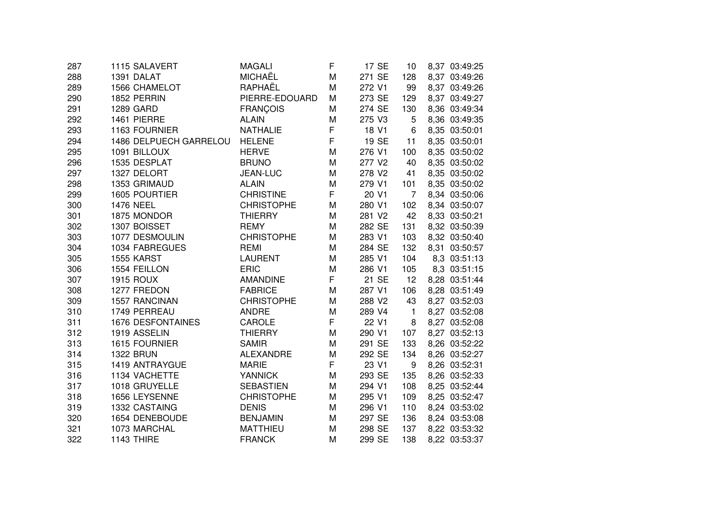| 287 | 1115 SALAVERT            | <b>MAGALI</b>     | F | 17 SE  | 10             | 8,37 03:49:25 |
|-----|--------------------------|-------------------|---|--------|----------------|---------------|
| 288 | 1391 DALAT               | <b>MICHAËL</b>    | M | 271 SE | 128            | 8,37 03:49:26 |
| 289 | <b>1566 CHAMELOT</b>     | RAPHAËL           | М | 272 V1 | 99             | 8,37 03:49:26 |
| 290 | 1852 PERRIN              | PIERRE-EDOUARD    | M | 273 SE | 129            | 8,37 03:49:27 |
| 291 | <b>1289 GARD</b>         | <b>FRANÇOIS</b>   | М | 274 SE | 130            | 8,36 03:49:34 |
| 292 | 1461 PIERRE              | <b>ALAIN</b>      | M | 275 V3 | 5              | 8,36 03:49:35 |
| 293 | 1163 FOURNIER            | <b>NATHALIE</b>   | F | 18 V1  | 6              | 8,35 03:50:01 |
| 294 | 1486 DELPUECH GARRELOU   | <b>HELENE</b>     | F | 19 SE  | 11             | 8,35 03:50:01 |
| 295 | 1091 BILLOUX             | <b>HERVE</b>      | M | 276 V1 | 100            | 8,35 03:50:02 |
| 296 | 1535 DESPLAT             | <b>BRUNO</b>      | М | 277 V2 | 40             | 8,35 03:50:02 |
| 297 | 1327 DELORT              | <b>JEAN-LUC</b>   | М | 278 V2 | 41             | 8,35 03:50:02 |
| 298 | 1353 GRIMAUD             | <b>ALAIN</b>      | M | 279 V1 | 101            | 8,35 03:50:02 |
| 299 | 1605 POURTIER            | <b>CHRISTINE</b>  | F | 20 V1  | $\overline{7}$ | 8,34 03:50:06 |
| 300 | <b>1476 NEEL</b>         | <b>CHRISTOPHE</b> | M | 280 V1 | 102            | 8,34 03:50:07 |
| 301 | 1875 MONDOR              | <b>THIERRY</b>    | M | 281 V2 | 42             | 8,33 03:50:21 |
| 302 | 1307 BOISSET             | <b>REMY</b>       | M | 282 SE | 131            | 8,32 03:50:39 |
| 303 | 1077 DESMOULIN           | <b>CHRISTOPHE</b> | M | 283 V1 | 103            | 8,32 03:50:40 |
| 304 | 1034 FABREGUES           | REMI              | M | 284 SE | 132            | 8,31 03:50:57 |
| 305 | 1555 KARST               | <b>LAURENT</b>    | M | 285 V1 | 104            | 8,3 03:51:13  |
| 306 | 1554 FEILLON             | <b>ERIC</b>       | M | 286 V1 | 105            | 8,3 03:51:15  |
| 307 | <b>1915 ROUX</b>         | <b>AMANDINE</b>   | F | 21 SE  | 12             | 8,28 03:51:44 |
| 308 | 1277 FREDON              | <b>FABRICE</b>    | M | 287 V1 | 106            | 8,28 03:51:49 |
| 309 | 1557 RANCINAN            | <b>CHRISTOPHE</b> | M | 288 V2 | 43             | 8,27 03:52:03 |
| 310 | 1749 PERREAU             | <b>ANDRE</b>      | M | 289 V4 | $\mathbf{1}$   | 8,27 03:52:08 |
| 311 | <b>1676 DESFONTAINES</b> | CAROLE            | F | 22 V1  | 8              | 8,27 03:52:08 |
| 312 | 1919 ASSELIN             | <b>THIERRY</b>    | M | 290 V1 | 107            | 8,27 03:52:13 |
| 313 | 1615 FOURNIER            | <b>SAMIR</b>      | M | 291 SE | 133            | 8,26 03:52:22 |
| 314 | <b>1322 BRUN</b>         | <b>ALEXANDRE</b>  | M | 292 SE | 134            | 8,26 03:52:27 |
| 315 | 1419 ANTRAYGUE           | <b>MARIE</b>      | F | 23 V1  | 9              | 8,26 03:52:31 |
| 316 | 1134 VACHETTE            | <b>YANNICK</b>    | M | 293 SE | 135            | 8,26 03:52:33 |
| 317 | 1018 GRUYELLE            | <b>SEBASTIEN</b>  | M | 294 V1 | 108            | 8,25 03:52:44 |
| 318 | 1656 LEYSENNE            | <b>CHRISTOPHE</b> | М | 295 V1 | 109            | 8,25 03:52:47 |
| 319 | 1332 CASTAING            | <b>DENIS</b>      | М | 296 V1 | 110            | 8,24 03:53:02 |
| 320 | 1654 DENEBOUDE           | <b>BENJAMIN</b>   | M | 297 SE | 136            | 8,24 03:53:08 |
| 321 | 1073 MARCHAL             | <b>MATTHIEU</b>   | М | 298 SE | 137            | 8,22 03:53:32 |
| 322 | 1143 THIRE               | <b>FRANCK</b>     | M | 299 SE | 138            | 8,22 03:53:37 |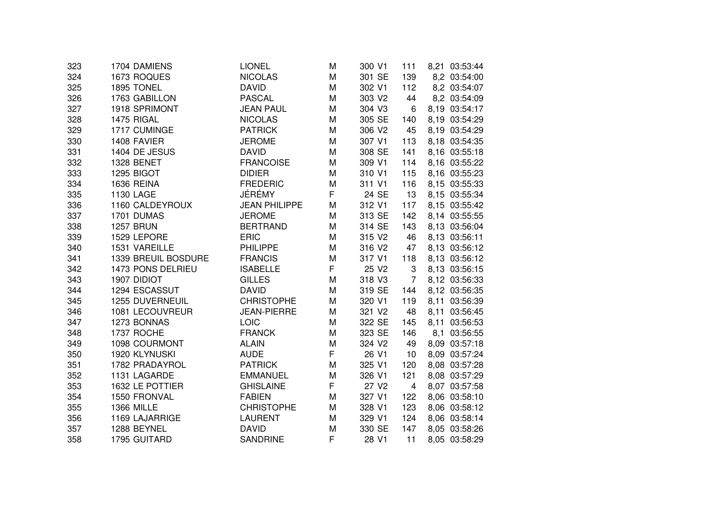| 323 | 1704 DAMIENS        | <b>LIONEL</b>        | M | 300 V1            | 111                     | 8,21 03:53:44 |
|-----|---------------------|----------------------|---|-------------------|-------------------------|---------------|
| 324 | 1673 ROQUES         | <b>NICOLAS</b>       | M | 301 SE            | 139                     | 8,2 03:54:00  |
| 325 | 1895 TONEL          | <b>DAVID</b>         | M | 302 V1            | 112                     | 8,2 03:54:07  |
| 326 | 1763 GABILLON       | <b>PASCAL</b>        | M | 303 V2            | 44                      | 8,2 03:54:09  |
| 327 | 1918 SPRIMONT       | <b>JEAN PAUL</b>     | M | 304 V3            | 6                       | 8,19 03:54:17 |
| 328 | 1475 RIGAL          | <b>NICOLAS</b>       | M | 305 SE            | 140                     | 8,19 03:54:29 |
| 329 | 1717 CUMINGE        | <b>PATRICK</b>       | M | 306 V2            | 45                      | 8,19 03:54:29 |
| 330 | 1408 FAVIER         | <b>JEROME</b>        | M | 307 V1            | 113                     | 8,18 03:54:35 |
| 331 | 1404 DE JESUS       | <b>DAVID</b>         | M | 308 SE            | 141                     | 8,16 03:55:18 |
| 332 | 1328 BENET          | <b>FRANCOISE</b>     | M | 309 V1            | 114                     | 8,16 03:55:22 |
| 333 | 1295 BIGOT          | <b>DIDIER</b>        | M | 310 V1            | 115                     | 8,16 03:55:23 |
| 334 | 1636 REINA          | <b>FREDERIC</b>      | M | 311 V1            | 116                     | 8,15 03:55:33 |
| 335 | <b>1130 LAGE</b>    | JÉRÉMY               | F | 24 SE             | 13                      | 8,15 03:55:34 |
| 336 | 1160 CALDEYROUX     | <b>JEAN PHILIPPE</b> | M | 312 V1            | 117                     | 8,15 03:55:42 |
| 337 | 1701 DUMAS          | <b>JEROME</b>        | M | 313 SE            | 142                     | 8,14 03:55:55 |
| 338 | <b>1257 BRUN</b>    | <b>BERTRAND</b>      | M | 314 SE            | 143                     | 8,13 03:56:04 |
| 339 | 1529 LEPORE         | <b>ERIC</b>          | M | 315 V2            | 46                      | 8,13 03:56:11 |
| 340 | 1531 VAREILLE       | <b>PHILIPPE</b>      | M | 316 V2            | 47                      | 8,13 03:56:12 |
| 341 | 1339 BREUIL BOSDURE | <b>FRANCIS</b>       | M | 317 V1            | 118                     | 8,13 03:56:12 |
| 342 | 1473 PONS DELRIEU   | <b>ISABELLE</b>      | F | 25 V2             | 3                       | 8,13 03:56:15 |
| 343 | 1907 DIDIOT         | <b>GILLES</b>        | M | 318 V3            | $\overline{7}$          | 8,12 03:56:33 |
| 344 | 1294 ESCASSUT       | <b>DAVID</b>         | M | 319 SE            | 144                     | 8,12 03:56:35 |
| 345 | 1255 DUVERNEUIL     | <b>CHRISTOPHE</b>    | M | 320 V1            | 119                     | 8,11 03:56:39 |
| 346 | 1081 LECOUVREUR     | <b>JEAN-PIERRE</b>   | M | 321 V2            | 48                      | 8,11 03:56:45 |
| 347 | 1273 BONNAS         | LOIC                 | M | 322 SE            | 145                     | 8,11 03:56:53 |
| 348 | 1737 ROCHE          | <b>FRANCK</b>        | M | 323 SE            | 146                     | 8,1 03:56:55  |
| 349 | 1098 COURMONT       | <b>ALAIN</b>         | M | 324 V2            | 49                      | 8,09 03:57:18 |
| 350 | 1920 KLYNUSKI       | <b>AUDE</b>          | F | 26 V1             | 10                      | 8,09 03:57:24 |
| 351 | 1782 PRADAYROL      | <b>PATRICK</b>       | M | 325 V1            | 120                     | 8,08 03:57:28 |
| 352 | 1131 LAGARDE        | <b>EMMANUEL</b>      | M | 326 V1            | 121                     | 8,08 03:57:29 |
| 353 | 1632 LE POTTIER     | <b>GHISLAINE</b>     | F | 27 V <sub>2</sub> | $\overline{\mathbf{4}}$ | 8,07 03:57:58 |
| 354 | 1550 FRONVAL        | <b>FABIEN</b>        | M | 327 V1            | 122                     | 8,06 03:58:10 |
| 355 | <b>1366 MILLE</b>   | <b>CHRISTOPHE</b>    | М | 328 V1            | 123                     | 8,06 03:58:12 |
| 356 | 1169 LAJARRIGE      | <b>LAURENT</b>       | М | 329 V1            | 124                     | 8,06 03:58:14 |
| 357 | 1288 BEYNEL         | <b>DAVID</b>         | M | 330 SE            | 147                     | 8,05 03:58:26 |
| 358 | 1795 GUITARD        | <b>SANDRINE</b>      | F | 28 V1             | 11                      | 8,05 03:58:29 |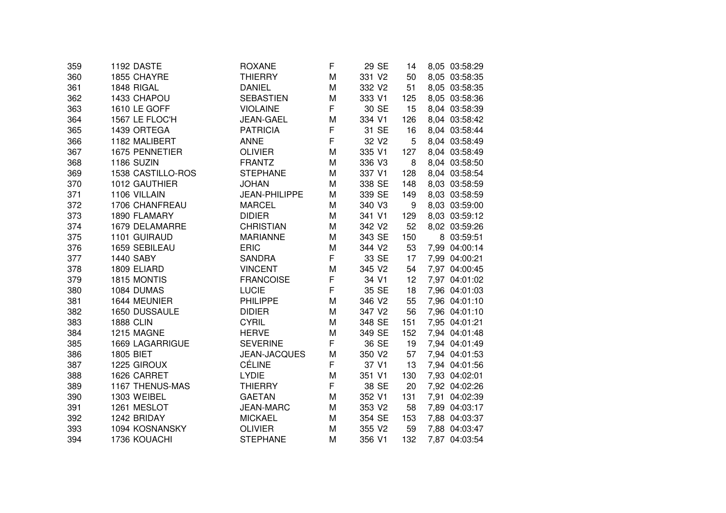| 359 | 1192 DASTE        | ROXANE               | F | 29 SE             | 14  | 8,05 03:58:29 |
|-----|-------------------|----------------------|---|-------------------|-----|---------------|
| 360 | 1855 CHAYRE       | <b>THIERRY</b>       | M | 331 V2            | 50  | 8,05 03:58:35 |
| 361 | 1848 RIGAL        | <b>DANIEL</b>        | M | 332 V2            | 51  | 8,05 03:58:35 |
| 362 | 1433 CHAPOU       | <b>SEBASTIEN</b>     | M | 333 V1            | 125 | 8,05 03:58:36 |
| 363 | 1610 LE GOFF      | <b>VIOLAINE</b>      | F | 30 SE             | 15  | 8,04 03:58:39 |
| 364 | 1567 LE FLOC'H    | <b>JEAN-GAEL</b>     | M | 334 V1            | 126 | 8,04 03:58:42 |
| 365 | 1439 ORTEGA       | <b>PATRICIA</b>      | F | 31 SE             | 16  | 8,04 03:58:44 |
| 366 | 1182 MALIBERT     | <b>ANNE</b>          | F | 32 V <sub>2</sub> | 5   | 8,04 03:58:49 |
| 367 | 1675 PENNETIER    | <b>OLIVIER</b>       | M | 335 V1            | 127 | 8,04 03:58:49 |
| 368 | 1186 SUZIN        | <b>FRANTZ</b>        | M | 336 V3            | 8   | 8,04 03:58:50 |
| 369 | 1538 CASTILLO-ROS | <b>STEPHANE</b>      | M | 337 V1            | 128 | 8,04 03:58:54 |
| 370 | 1012 GAUTHIER     | <b>JOHAN</b>         | M | 338 SE            | 148 | 8,03 03:58:59 |
| 371 | 1106 VILLAIN      | <b>JEAN-PHILIPPE</b> | M | 339 SE            | 149 | 8,03 03:58:59 |
| 372 | 1706 CHANFREAU    | <b>MARCEL</b>        | M | 340 V3            | 9   | 8,03 03:59:00 |
| 373 | 1890 FLAMARY      | <b>DIDIER</b>        | M | 341 V1            | 129 | 8,03 03:59:12 |
| 374 | 1679 DELAMARRE    | <b>CHRISTIAN</b>     | M | 342 V2            | 52  | 8,02 03:59:26 |
| 375 | 1101 GUIRAUD      | <b>MARIANNE</b>      | M | 343 SE            | 150 | 8 03:59:51    |
| 376 | 1659 SEBILEAU     | <b>ERIC</b>          | M | 344 V2            | 53  | 7,99 04:00:14 |
| 377 | <b>1440 SABY</b>  | <b>SANDRA</b>        | F | 33 SE             | 17  | 7,99 04:00:21 |
| 378 | 1809 ELIARD       | <b>VINCENT</b>       | M | 345 V2            | 54  | 7,97 04:00:45 |
| 379 | 1815 MONTIS       | <b>FRANCOISE</b>     | F | 34 V1             | 12  | 7,97 04:01:02 |
| 380 | 1084 DUMAS        | <b>LUCIE</b>         | F | 35 SE             | 18  | 7,96 04:01:03 |
| 381 | 1644 MEUNIER      | <b>PHILIPPE</b>      | M | 346 V2            | 55  | 7,96 04:01:10 |
| 382 | 1650 DUSSAULE     | <b>DIDIER</b>        | M | 347 V2            | 56  | 7,96 04:01:10 |
| 383 | <b>1888 CLIN</b>  | <b>CYRIL</b>         | M | 348 SE            | 151 | 7,95 04:01:21 |
| 384 | 1215 MAGNE        | <b>HERVE</b>         | M | 349 SE            | 152 | 7,94 04:01:48 |
| 385 | 1669 LAGARRIGUE   | <b>SEVERINE</b>      | F | 36 SE             | 19  | 7,94 04:01:49 |
| 386 | <b>1805 BIET</b>  | <b>JEAN-JACQUES</b>  | M | 350 V2            | 57  | 7,94 04:01:53 |
| 387 | 1225 GIROUX       | <b>CÉLINE</b>        | F | 37 V1             | 13  | 7,94 04:01:56 |
| 388 | 1626 CARRET       | <b>LYDIE</b>         | M | 351 V1            | 130 | 7,93 04:02:01 |
| 389 | 1167 THENUS-MAS   | <b>THIERRY</b>       | F | 38 SE             | 20  | 7,92 04:02:26 |
| 390 | 1303 WEIBEL       | <b>GAETAN</b>        | M | 352 V1            | 131 | 7,91 04:02:39 |
| 391 | 1261 MESLOT       | <b>JEAN-MARC</b>     | M | 353 V2            | 58  | 7,89 04:03:17 |
| 392 | 1242 BRIDAY       | <b>MICKAEL</b>       | М | 354 SE            | 153 | 7,88 04:03:37 |
| 393 | 1094 KOSNANSKY    | <b>OLIVIER</b>       | M | 355 V2            | 59  | 7,88 04:03:47 |
| 394 | 1736 KOUACHI      | <b>STEPHANE</b>      | M | 356 V1            | 132 | 7,87 04:03:54 |
|     |                   |                      |   |                   |     |               |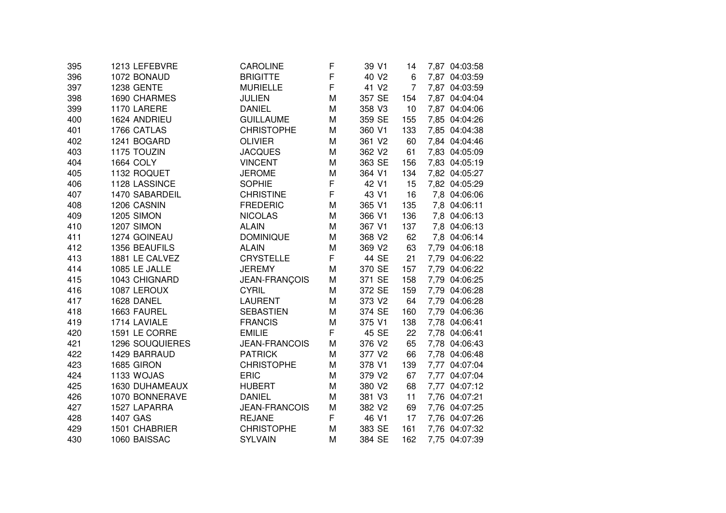| 395 | 1213 LEFEBVRE     | <b>CAROLINE</b>      | F | 39 V1             | 14             | 7,87 04:03:58 |
|-----|-------------------|----------------------|---|-------------------|----------------|---------------|
| 396 | 1072 BONAUD       | <b>BRIGITTE</b>      | F | 40 V <sub>2</sub> | 6              | 7,87 04:03:59 |
| 397 | <b>1238 GENTE</b> | <b>MURIELLE</b>      | F | 41 V <sub>2</sub> | $\overline{7}$ | 7,87 04:03:59 |
| 398 | 1690 CHARMES      | <b>JULIEN</b>        | M | 357 SE            | 154            | 7,87 04:04:04 |
| 399 | 1170 LARERE       | <b>DANIEL</b>        | M | 358 V3            | 10             | 7,87 04:04:06 |
| 400 | 1624 ANDRIEU      | <b>GUILLAUME</b>     | M | 359 SE            | 155            | 7,85 04:04:26 |
| 401 | 1766 CATLAS       | <b>CHRISTOPHE</b>    | M | 360 V1            | 133            | 7,85 04:04:38 |
| 402 | 1241 BOGARD       | <b>OLIVIER</b>       | M | 361 V2            | 60             | 7,84 04:04:46 |
| 403 | 1175 TOUZIN       | <b>JACQUES</b>       | M | 362 V2            | 61             | 7,83 04:05:09 |
| 404 | <b>1664 COLY</b>  | <b>VINCENT</b>       | M | 363 SE            | 156            | 7,83 04:05:19 |
| 405 | 1132 ROQUET       | <b>JEROME</b>        | M | 364 V1            | 134            | 7,82 04:05:27 |
| 406 | 1128 LASSINCE     | <b>SOPHIE</b>        | F | 42 V1             | 15             | 7,82 04:05:29 |
| 407 | 1470 SABARDEIL    | <b>CHRISTINE</b>     | F | 43 V1             | 16             | 7,8 04:06:06  |
| 408 | 1206 CASNIN       | <b>FREDERIC</b>      | M | 365 V1            | 135            | 7,8 04:06:11  |
| 409 | 1205 SIMON        | <b>NICOLAS</b>       | M | 366 V1            | 136            | 7,8 04:06:13  |
| 410 | 1207 SIMON        | <b>ALAIN</b>         | M | 367 V1            | 137            | 7,8 04:06:13  |
| 411 | 1274 GOINEAU      | <b>DOMINIQUE</b>     | M | 368 V2            | 62             | 7,8 04:06:14  |
| 412 | 1356 BEAUFILS     | <b>ALAIN</b>         | M | 369 V2            | 63             | 7,79 04:06:18 |
| 413 | 1881 LE CALVEZ    | <b>CRYSTELLE</b>     | F | 44 SE             | 21             | 7,79 04:06:22 |
| 414 | 1085 LE JALLE     | <b>JEREMY</b>        | M | 370 SE            | 157            | 7,79 04:06:22 |
| 415 | 1043 CHIGNARD     | JEAN-FRANÇOIS        | M | 371 SE            | 158            | 7,79 04:06:25 |
| 416 | 1087 LEROUX       | <b>CYRIL</b>         | M | 372 SE            | 159            | 7,79 04:06:28 |
| 417 | 1628 DANEL        | <b>LAURENT</b>       | M | 373 V2            | 64             | 7,79 04:06:28 |
| 418 | 1663 FAUREL       | <b>SEBASTIEN</b>     | M | 374 SE            | 160            | 7,79 04:06:36 |
| 419 | 1714 LAVIALE      | <b>FRANCIS</b>       | M | 375 V1            | 138            | 7,78 04:06:41 |
| 420 | 1591 LE CORRE     | <b>EMILIE</b>        | F | 45 SE             | 22             | 7,78 04:06:41 |
| 421 | 1296 SOUQUIERES   | <b>JEAN-FRANCOIS</b> | М | 376 V2            | 65             | 7,78 04:06:43 |
| 422 | 1429 BARRAUD      | <b>PATRICK</b>       | M | 377 V2            | 66             | 7,78 04:06:48 |
| 423 | 1685 GIRON        | <b>CHRISTOPHE</b>    | М | 378 V1            | 139            | 7,77 04:07:04 |
| 424 | 1133 WOJAS        | <b>ERIC</b>          | M | 379 V2            | 67             | 7,77 04:07:04 |
| 425 | 1630 DUHAMEAUX    | <b>HUBERT</b>        | M | 380 V2            | 68             | 7,77 04:07:12 |
| 426 | 1070 BONNERAVE    | <b>DANIEL</b>        | M | 381 V3            | 11             | 7,76 04:07:21 |
| 427 | 1527 LAPARRA      | <b>JEAN-FRANCOIS</b> | M | 382 V2            | 69             | 7,76 04:07:25 |
| 428 | 1407 GAS          | <b>REJANE</b>        | F | 46 V1             | 17             | 7,76 04:07:26 |
| 429 | 1501 CHABRIER     | <b>CHRISTOPHE</b>    | M | 383 SE            | 161            | 7,76 04:07:32 |
| 430 | 1060 BAISSAC      | <b>SYLVAIN</b>       | M | 384 SE            | 162            | 7,75 04:07:39 |
|     |                   |                      |   |                   |                |               |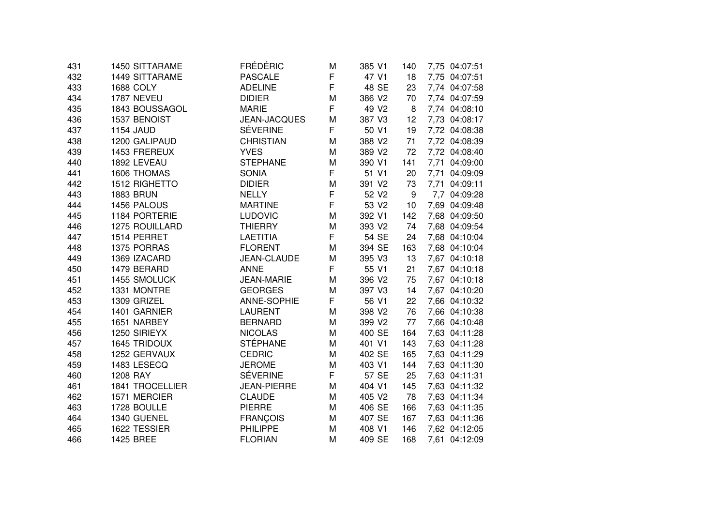| 431 | 1450 SITTARAME         | <b>FRÉDÉRIC</b>     | M | 385 V1            | 140 | 7,75 04:07:51 |
|-----|------------------------|---------------------|---|-------------------|-----|---------------|
| 432 | <b>1449 SITTARAME</b>  | PASCALE             | F | 47 V1             | 18  | 7,75 04:07:51 |
| 433 | <b>1688 COLY</b>       | <b>ADELINE</b>      | F | 48 SE             | 23  | 7,74 04:07:58 |
| 434 | 1787 NEVEU             | <b>DIDIER</b>       | M | 386 V2            | 70  | 7,74 04:07:59 |
| 435 | 1843 BOUSSAGOL         | <b>MARIE</b>        | F | 49 V <sub>2</sub> | 8   | 7,74 04:08:10 |
| 436 | 1537 BENOIST           | <b>JEAN-JACQUES</b> | M | 387 V3            | 12  | 7,73 04:08:17 |
| 437 | <b>1154 JAUD</b>       | <b>SÉVERINE</b>     | F | 50 V1             | 19  | 7,72 04:08:38 |
| 438 | 1200 GALIPAUD          | <b>CHRISTIAN</b>    | M | 388 V2            | 71  | 7,72 04:08:39 |
| 439 | 1453 FREREUX           | <b>YVES</b>         | M | 389 V2            | 72  | 7,72 04:08:40 |
| 440 | 1892 LEVEAU            | <b>STEPHANE</b>     | M | 390 V1            | 141 | 7,71 04:09:00 |
| 441 | 1606 THOMAS            | <b>SONIA</b>        | F | 51 V1             | 20  | 7,71 04:09:09 |
| 442 | 1512 RIGHETTO          | <b>DIDIER</b>       | M | 391 V2            | 73  | 7,71 04:09:11 |
| 443 | <b>1883 BRUN</b>       | <b>NELLY</b>        | F | 52 V2             | 9   | 7,7 04:09:28  |
| 444 | 1456 PALOUS            | <b>MARTINE</b>      | F | 53 V2             | 10  | 7,69 04:09:48 |
| 445 | 1184 PORTERIE          | <b>LUDOVIC</b>      | M | 392 V1            | 142 | 7,68 04:09:50 |
| 446 | 1275 ROUILLARD         | <b>THIERRY</b>      | M | 393 V2            | 74  | 7,68 04:09:54 |
| 447 | 1514 PERRET            | <b>LAETITIA</b>     | F | 54 SE             | 24  | 7,68 04:10:04 |
| 448 | 1375 PORRAS            | <b>FLORENT</b>      | M | 394 SE            | 163 | 7,68 04:10:04 |
| 449 | 1369 IZACARD           | JEAN-CLAUDE         | M | 395 V3            | 13  | 7,67 04:10:18 |
| 450 | 1479 BERARD            | <b>ANNE</b>         | F | 55 V1             | 21  | 7,67 04:10:18 |
| 451 | 1455 SMOLUCK           | <b>JEAN-MARIE</b>   | M | 396 V2            | 75  | 7,67 04:10:18 |
| 452 | 1331 MONTRE            | <b>GEORGES</b>      | M | 397 V3            | 14  | 7,67 04:10:20 |
| 453 | 1309 GRIZEL            | ANNE-SOPHIE         | F | 56 V1             | 22  | 7,66 04:10:32 |
| 454 | 1401 GARNIER           | <b>LAURENT</b>      | M | 398 V2            | 76  | 7,66 04:10:38 |
| 455 | 1651 NARBEY            | <b>BERNARD</b>      | M | 399 V2            | 77  | 7,66 04:10:48 |
| 456 | 1250 SIRIEYX           | <b>NICOLAS</b>      | M | 400 SE            | 164 | 7,63 04:11:28 |
| 457 | <b>1645 TRIDOUX</b>    | <b>STÉPHANE</b>     | M | 401 V1            | 143 | 7,63 04:11:28 |
| 458 | 1252 GERVAUX           | <b>CEDRIC</b>       | M | 402 SE            | 165 | 7,63 04:11:29 |
| 459 | 1483 LESECQ            | <b>JEROME</b>       | M | 403 V1            | 144 | 7,63 04:11:30 |
| 460 | 1208 RAY               | <b>SÉVERINE</b>     | F | 57 SE             | 25  | 7,63 04:11:31 |
| 461 | <b>1841 TROCELLIER</b> | <b>JEAN-PIERRE</b>  | M | 404 V1            | 145 | 7,63 04:11:32 |
| 462 | 1571 MERCIER           | <b>CLAUDE</b>       | M | 405 V2            | 78  | 7,63 04:11:34 |
| 463 | 1728 BOULLE            | <b>PIERRE</b>       | м | 406 SE            | 166 | 7,63 04:11:35 |
| 464 | 1340 GUENEL            | <b>FRANÇOIS</b>     | M | 407 SE            | 167 | 7,63 04:11:36 |
| 465 | 1622 TESSIER           | <b>PHILIPPE</b>     | M | 408 V1            | 146 | 7,62 04:12:05 |
| 466 | <b>1425 BREE</b>       | <b>FLORIAN</b>      | M | 409 SE            | 168 | 7,61 04:12:09 |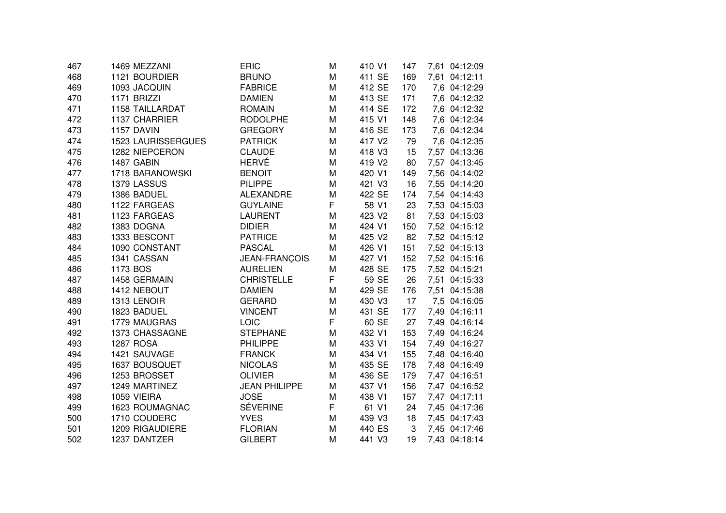| 467 | 1469 MEZZANI              | <b>ERIC</b>          | M | 410 V1 | 147 | 7,61 04:12:09 |
|-----|---------------------------|----------------------|---|--------|-----|---------------|
| 468 | 1121 BOURDIER             | <b>BRUNO</b>         | M | 411 SE | 169 | 7,61 04:12:11 |
| 469 | 1093 JACQUIN              | <b>FABRICE</b>       | M | 412 SE | 170 | 7,6 04:12:29  |
| 470 | 1171 BRIZZI               | <b>DAMIEN</b>        | M | 413 SE | 171 | 7,6 04:12:32  |
| 471 | <b>1158 TAILLARDAT</b>    | <b>ROMAIN</b>        | M | 414 SE | 172 | 7,6 04:12:32  |
| 472 | 1137 CHARRIER             | <b>RODOLPHE</b>      | M | 415 V1 | 148 | 7,6 04:12:34  |
| 473 | 1157 DAVIN                | <b>GREGORY</b>       | M | 416 SE | 173 | 7,6 04:12:34  |
| 474 | <b>1523 LAURISSERGUES</b> | <b>PATRICK</b>       | M | 417 V2 | 79  | 7,6 04:12:35  |
| 475 | 1282 NIEPCERON            | <b>CLAUDE</b>        | M | 418 V3 | 15  | 7,57 04:13:36 |
| 476 | 1487 GABIN                | <b>HERVÉ</b>         | M | 419 V2 | 80  | 7,57 04:13:45 |
| 477 | 1718 BARANOWSKI           | <b>BENOIT</b>        | M | 420 V1 | 149 | 7,56 04:14:02 |
| 478 | 1379 LASSUS               | <b>PILIPPE</b>       | M | 421 V3 | 16  | 7,55 04:14:20 |
| 479 | 1386 BADUEL               | <b>ALEXANDRE</b>     | M | 422 SE | 174 | 7,54 04:14:43 |
| 480 | 1122 FARGEAS              | <b>GUYLAINE</b>      | F | 58 V1  | 23  | 7,53 04:15:03 |
| 481 | 1123 FARGEAS              | <b>LAURENT</b>       | M | 423 V2 | 81  | 7,53 04:15:03 |
| 482 | 1383 DOGNA                | <b>DIDIER</b>        | M | 424 V1 | 150 | 7,52 04:15:12 |
| 483 | 1333 BESCONT              | <b>PATRICE</b>       | M | 425 V2 | 82  | 7,52 04:15:12 |
| 484 | 1090 CONSTANT             | <b>PASCAL</b>        | M | 426 V1 | 151 | 7,52 04:15:13 |
| 485 | 1341 CASSAN               | JEAN-FRANÇOIS        | M | 427 V1 | 152 | 7,52 04:15:16 |
| 486 | 1173 BOS                  | <b>AURELIEN</b>      | M | 428 SE | 175 | 7,52 04:15:21 |
| 487 | 1458 GERMAIN              | <b>CHRISTELLE</b>    | F | 59 SE  | 26  | 7,51 04:15:33 |
| 488 | 1412 NEBOUT               | <b>DAMIEN</b>        | M | 429 SE | 176 | 7,51 04:15:38 |
| 489 | 1313 LENOIR               | <b>GERARD</b>        | M | 430 V3 | 17  | 7,5 04:16:05  |
| 490 | 1823 BADUEL               | <b>VINCENT</b>       | M | 431 SE | 177 | 7,49 04:16:11 |
| 491 | 1779 MAUGRAS              | LOIC                 | F | 60 SE  | 27  | 7,49 04:16:14 |
| 492 | 1373 CHASSAGNE            | <b>STEPHANE</b>      | M | 432 V1 | 153 | 7,49 04:16:24 |
| 493 | <b>1287 ROSA</b>          | <b>PHILIPPE</b>      | M | 433 V1 | 154 | 7,49 04:16:27 |
| 494 | 1421 SAUVAGE              | <b>FRANCK</b>        | M | 434 V1 | 155 | 7,48 04:16:40 |
| 495 | 1637 BOUSQUET             | <b>NICOLAS</b>       | M | 435 SE | 178 | 7,48 04:16:49 |
| 496 | 1253 BROSSET              | <b>OLIVIER</b>       | M | 436 SE | 179 | 7,47 04:16:51 |
| 497 | 1249 MARTINEZ             | <b>JEAN PHILIPPE</b> | M | 437 V1 | 156 | 7,47 04:16:52 |
| 498 | 1059 VIEIRA               | <b>JOSE</b>          | M | 438 V1 | 157 | 7,47 04:17:11 |
| 499 | 1623 ROUMAGNAC            | <b>SÉVERINE</b>      | F | 61 V1  | 24  | 7,45 04:17:36 |
| 500 | 1710 COUDERC              | <b>YVES</b>          | M | 439 V3 | 18  | 7,45 04:17:43 |
| 501 | 1209 RIGAUDIERE           | <b>FLORIAN</b>       | M | 440 ES | 3   | 7,45 04:17:46 |
| 502 | 1237 DANTZER              | <b>GILBERT</b>       | M | 441 V3 | 19  | 7,43 04:18:14 |
|     |                           |                      |   |        |     |               |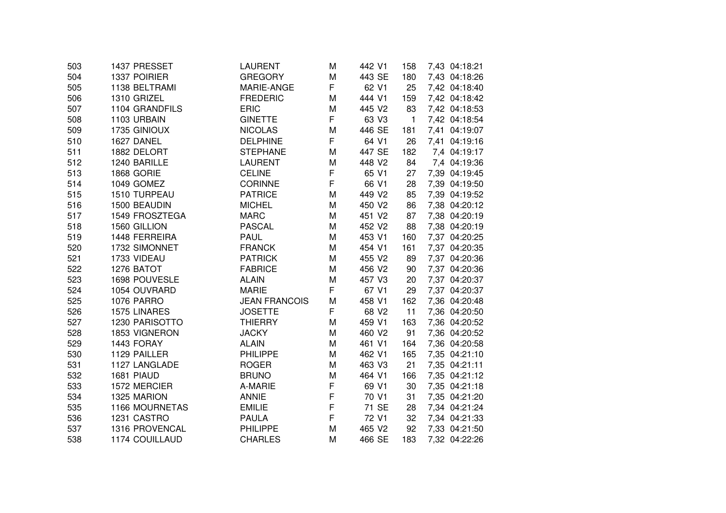| 503 | 1437 PRESSET      | LAURENT              | M | 442 V1 | 158          | 7,43 04:18:21 |
|-----|-------------------|----------------------|---|--------|--------------|---------------|
| 504 | 1337 POIRIER      | <b>GREGORY</b>       | M | 443 SE | 180          | 7,43 04:18:26 |
| 505 | 1138 BELTRAMI     | MARIE-ANGE           | F | 62 V1  | 25           | 7,42 04:18:40 |
| 506 | 1310 GRIZEL       | <b>FREDERIC</b>      | M | 444 V1 | 159          | 7,42 04:18:42 |
| 507 | 1104 GRANDFILS    | <b>ERIC</b>          | M | 445 V2 | 83           | 7,42 04:18:53 |
| 508 | 1103 URBAIN       | <b>GINETTE</b>       | F | 63 V3  | $\mathbf{1}$ | 7,42 04:18:54 |
| 509 | 1735 GINIOUX      | <b>NICOLAS</b>       | М | 446 SE | 181          | 7,41 04:19:07 |
| 510 | 1627 DANEL        | <b>DELPHINE</b>      | F | 64 V1  | 26           | 7,41 04:19:16 |
| 511 | 1882 DELORT       | <b>STEPHANE</b>      | M | 447 SE | 182          | 7,4 04:19:17  |
| 512 | 1240 BARILLE      | <b>LAURENT</b>       | M | 448 V2 | 84           | 7,4 04:19:36  |
| 513 | 1868 GORIE        | <b>CELINE</b>        | F | 65 V1  | 27           | 7,39 04:19:45 |
| 514 | 1049 GOMEZ        | <b>CORINNE</b>       | F | 66 V1  | 28           | 7,39 04:19:50 |
| 515 | 1510 TURPEAU      | <b>PATRICE</b>       | M | 449 V2 | 85           | 7,39 04:19:52 |
| 516 | 1500 BEAUDIN      | <b>MICHEL</b>        | М | 450 V2 | 86           | 7,38 04:20:12 |
| 517 | 1549 FROSZTEGA    | <b>MARC</b>          | M | 451 V2 | 87           | 7,38 04:20:19 |
| 518 | 1560 GILLION      | <b>PASCAL</b>        | М | 452 V2 | 88           | 7,38 04:20:19 |
| 519 | 1448 FERREIRA     | <b>PAUL</b>          | M | 453 V1 | 160          | 7,37 04:20:25 |
| 520 | 1732 SIMONNET     | <b>FRANCK</b>        | M | 454 V1 | 161          | 7,37 04:20:35 |
| 521 | 1733 VIDEAU       | <b>PATRICK</b>       | M | 455 V2 | 89           | 7,37 04:20:36 |
| 522 | 1276 BATOT        | <b>FABRICE</b>       | M | 456 V2 | 90           | 7,37 04:20:36 |
| 523 | 1698 POUVESLE     | <b>ALAIN</b>         | M | 457 V3 | 20           | 7,37 04:20:37 |
| 524 | 1054 OUVRARD      | <b>MARIE</b>         | F | 67 V1  | 29           | 7,37 04:20:37 |
| 525 | <b>1076 PARRO</b> | <b>JEAN FRANCOIS</b> | M | 458 V1 | 162          | 7,36 04:20:48 |
| 526 | 1575 LINARES      | <b>JOSETTE</b>       | F | 68 V2  | 11           | 7,36 04:20:50 |
| 527 | 1230 PARISOTTO    | <b>THIERRY</b>       | M | 459 V1 | 163          | 7,36 04:20:52 |
| 528 | 1853 VIGNERON     | <b>JACKY</b>         | M | 460 V2 | 91           | 7,36 04:20:52 |
| 529 | 1443 FORAY        | <b>ALAIN</b>         | M | 461 V1 | 164          | 7,36 04:20:58 |
| 530 | 1129 PAILLER      | <b>PHILIPPE</b>      | M | 462 V1 | 165          | 7,35 04:21:10 |
| 531 | 1127 LANGLADE     | <b>ROGER</b>         | M | 463 V3 | 21           | 7,35 04:21:11 |
| 532 | 1681 PIAUD        | <b>BRUNO</b>         | M | 464 V1 | 166          | 7,35 04:21:12 |
| 533 | 1572 MERCIER      | A-MARIE              | F | 69 V1  | 30           | 7,35 04:21:18 |
| 534 | 1325 MARION       | <b>ANNIE</b>         | F | 70 V1  | 31           | 7,35 04:21:20 |
| 535 | 1166 MOURNETAS    | <b>EMILIE</b>        | F | 71 SE  | 28           | 7,34 04:21:24 |
| 536 | 1231 CASTRO       | <b>PAULA</b>         | F | 72 V1  | 32           | 7,34 04:21:33 |
| 537 | 1316 PROVENCAL    | <b>PHILIPPE</b>      | M | 465 V2 | 92           | 7,33 04:21:50 |
| 538 | 1174 COUILLAUD    | <b>CHARLES</b>       | M | 466 SE | 183          | 7,32 04:22:26 |
|     |                   |                      |   |        |              |               |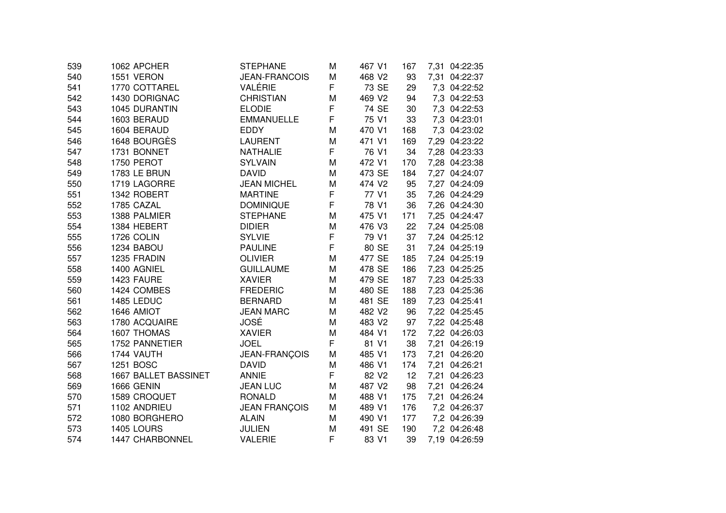| 539 | 1062 APCHER          | <b>STEPHANE</b>      | M | 467 V1            | 167 | 7,31 04:22:35 |
|-----|----------------------|----------------------|---|-------------------|-----|---------------|
| 540 | 1551 VERON           | <b>JEAN-FRANCOIS</b> | M | 468 V2            | 93  | 7,31 04:22:37 |
| 541 | 1770 COTTAREL        | VALÉRIE              | F | 73 SE             | 29  | 7,3 04:22:52  |
| 542 | 1430 DORIGNAC        | <b>CHRISTIAN</b>     | M | 469 V2            | 94  | 7,3 04:22:53  |
| 543 | 1045 DURANTIN        | <b>ELODIE</b>        | F | 74 SE             | 30  | 7,3 04:22:53  |
| 544 | 1603 BERAUD          | <b>EMMANUELLE</b>    | F | 75 V1             | 33  | 7,3 04:23:01  |
| 545 | 1604 BERAUD          | <b>EDDY</b>          | M | 470 V1            | 168 | 7,3 04:23:02  |
| 546 | 1648 BOURGÈS         | <b>LAURENT</b>       | M | 471 V1            | 169 | 7,29 04:23:22 |
| 547 | 1731 BONNET          | <b>NATHALIE</b>      | F | 76 V1             | 34  | 7,28 04:23:33 |
| 548 | 1750 PEROT           | <b>SYLVAIN</b>       | M | 472 V1            | 170 | 7,28 04:23:38 |
| 549 | 1783 LE BRUN         | <b>DAVID</b>         | M | 473 SE            | 184 | 7,27 04:24:07 |
| 550 | 1719 LAGORRE         | <b>JEAN MICHEL</b>   | M | 474 V2            | 95  | 7,27 04:24:09 |
| 551 | 1342 ROBERT          | <b>MARTINE</b>       | F | 77 V1             | 35  | 7,26 04:24:29 |
| 552 | 1785 CAZAL           | <b>DOMINIQUE</b>     | F | 78 V1             | 36  | 7,26 04:24:30 |
| 553 | 1388 PALMIER         | <b>STEPHANE</b>      | M | 475 V1            | 171 | 7,25 04:24:47 |
| 554 | 1384 HEBERT          | <b>DIDIER</b>        | M | 476 V3            | 22  | 7,24 04:25:08 |
| 555 | 1726 COLIN           | <b>SYLVIE</b>        | F | 79 V1             | 37  | 7,24 04:25:12 |
| 556 | 1234 BABOU           | <b>PAULINE</b>       | F | 80 SE             | 31  | 7,24 04:25:19 |
| 557 | 1235 FRADIN          | <b>OLIVIER</b>       | M | 477 SE            | 185 | 7,24 04:25:19 |
| 558 | 1400 AGNIEL          | <b>GUILLAUME</b>     | M | 478 SE            | 186 | 7,23 04:25:25 |
| 559 | 1423 FAURE           | <b>XAVIER</b>        | M | 479 SE            | 187 | 7,23 04:25:33 |
| 560 | 1424 COMBES          | <b>FREDERIC</b>      | M | 480 SE            | 188 | 7,23 04:25:36 |
| 561 | 1485 LEDUC           | <b>BERNARD</b>       | M | 481 SE            | 189 | 7,23 04:25:41 |
| 562 | 1646 AMIOT           | <b>JEAN MARC</b>     | M | 482 V2            | 96  | 7,22 04:25:45 |
| 563 | 1780 ACQUAIRE        | JOSÉ                 | M | 483 V2            | 97  | 7,22 04:25:48 |
| 564 | 1607 THOMAS          | <b>XAVIER</b>        | M | 484 V1            | 172 | 7,22 04:26:03 |
| 565 | 1752 PANNETIER       | <b>JOEL</b>          | F | 81 V1             | 38  | 7,21 04:26:19 |
| 566 | 1744 VAUTH           | JEAN-FRANÇOIS        | M | 485 V1            | 173 | 7,21 04:26:20 |
| 567 | 1251 BOSC            | <b>DAVID</b>         | M | 486 V1            | 174 | 7,21 04:26:21 |
| 568 | 1667 BALLET BASSINET | <b>ANNIE</b>         | F | 82 V <sub>2</sub> | 12  | 7,21 04:26:23 |
| 569 | <b>1666 GENIN</b>    | <b>JEAN LUC</b>      | M | 487 V2            | 98  | 7,21 04:26:24 |
| 570 | 1589 CROQUET         | <b>RONALD</b>        | M | 488 V1            | 175 | 7,21 04:26:24 |
| 571 | 1102 ANDRIEU         | <b>JEAN FRANÇOIS</b> | M | 489 V1            | 176 | 7,2 04:26:37  |
| 572 | 1080 BORGHERO        | <b>ALAIN</b>         | M | 490 V1            | 177 | 7,2 04:26:39  |
| 573 | 1405 LOURS           | <b>JULIEN</b>        | M | 491 SE            | 190 | 7,2 04:26:48  |
| 574 | 1447 CHARBONNEL      | <b>VALERIE</b>       | F | 83 V1             | 39  | 7,19 04:26:59 |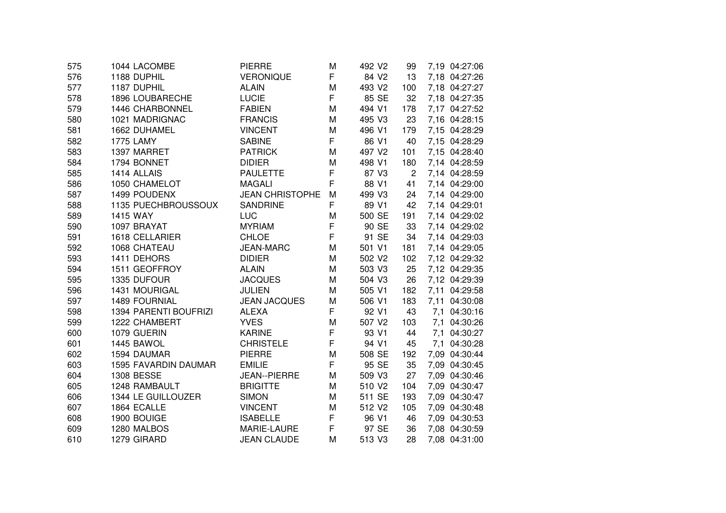| 575 | 1044 LACOMBE          | <b>PIERRE</b>          | M | 492 V <sub>2</sub> | 99             | 7,19 04:27:06 |
|-----|-----------------------|------------------------|---|--------------------|----------------|---------------|
| 576 | 1188 DUPHIL           | <b>VERONIQUE</b>       | F | 84 V2              | 13             | 7,18 04:27:26 |
| 577 | 1187 DUPHIL           | <b>ALAIN</b>           | M | 493 V2             | 100            | 7,18 04:27:27 |
| 578 | 1896 LOUBARECHE       | <b>LUCIE</b>           | F | 85 SE              | 32             | 7,18 04:27:35 |
| 579 | 1446 CHARBONNEL       | <b>FABIEN</b>          | M | 494 V1             | 178            | 7,17 04:27:52 |
| 580 | 1021 MADRIGNAC        | <b>FRANCIS</b>         | M | 495 V3             | 23             | 7,16 04:28:15 |
| 581 | 1662 DUHAMEL          | <b>VINCENT</b>         | M | 496 V1             | 179            | 7,15 04:28:29 |
| 582 | <b>1775 LAMY</b>      | <b>SABINE</b>          | F | 86 V1              | 40             | 7,15 04:28:29 |
| 583 | 1397 MARRET           | <b>PATRICK</b>         | M | 497 V2             | 101            | 7,15 04:28:40 |
| 584 | 1794 BONNET           | <b>DIDIER</b>          | M | 498 V1             | 180            | 7,14 04:28:59 |
| 585 | 1414 ALLAIS           | <b>PAULETTE</b>        | F | 87 V3              | $\overline{2}$ | 7,14 04:28:59 |
| 586 | 1050 CHAMELOT         | <b>MAGALI</b>          | F | 88 V1              | 41             | 7,14 04:29:00 |
| 587 | 1499 POUDENX          | <b>JEAN CHRISTOPHE</b> | M | 499 V3             | 24             | 7,14 04:29:00 |
| 588 | 1135 PUECHBROUSSOUX   | <b>SANDRINE</b>        | F | 89 V1              | 42             | 7,14 04:29:01 |
| 589 | 1415 WAY              | <b>LUC</b>             | M | 500 SE             | 191            | 7,14 04:29:02 |
| 590 | 1097 BRAYAT           | <b>MYRIAM</b>          | F | 90 SE              | 33             | 7,14 04:29:02 |
| 591 | 1618 CELLARIER        | <b>CHLOE</b>           | F | 91 SE              | 34             | 7,14 04:29:03 |
| 592 | 1068 CHATEAU          | <b>JEAN-MARC</b>       | M | 501 V1             | 181            | 7,14 04:29:05 |
| 593 | 1411 DEHORS           | <b>DIDIER</b>          | M | 502 V2             | 102            | 7,12 04:29:32 |
| 594 | 1511 GEOFFROY         | <b>ALAIN</b>           | M | 503 V3             | 25             | 7,12 04:29:35 |
| 595 | 1335 DUFOUR           | <b>JACQUES</b>         | M | 504 V3             | 26             | 7,12 04:29:39 |
| 596 | 1431 MOURIGAL         | <b>JULIEN</b>          | M | 505 V1             | 182            | 7,11 04:29:58 |
| 597 | 1489 FOURNIAL         | <b>JEAN JACQUES</b>    | M | 506 V1             | 183            | 7,11 04:30:08 |
| 598 | 1394 PARENTI BOUFRIZI | <b>ALEXA</b>           | F | 92 V1              | 43             | 7,1 04:30:16  |
| 599 | 1222 CHAMBERT         | <b>YVES</b>            | M | 507 V2             | 103            | 7,1 04:30:26  |
| 600 | 1079 GUERIN           | <b>KARINE</b>          | F | 93 V1              | 44             | 7,1 04:30:27  |
| 601 | 1445 BAWOL            | <b>CHRISTELE</b>       | F | 94 V1              | 45             | 7,1 04:30:28  |
| 602 | 1594 DAUMAR           | <b>PIERRE</b>          | M | 508 SE             | 192            | 7,09 04:30:44 |
| 603 | 1595 FAVARDIN DAUMAR  | <b>EMILIE</b>          | F | 95 SE              | 35             | 7,09 04:30:45 |
| 604 | <b>1308 BESSE</b>     | JEAN--PIERRE           | M | 509 V3             | 27             | 7,09 04:30:46 |
| 605 | 1248 RAMBAULT         | <b>BRIGITTE</b>        | M | 510 V2             | 104            | 7,09 04:30:47 |
| 606 | 1344 LE GUILLOUZER    | <b>SIMON</b>           | M | 511 SE             | 193            | 7,09 04:30:47 |
| 607 | 1864 ECALLE           | <b>VINCENT</b>         | M | 512 V2             | 105            | 7,09 04:30:48 |
| 608 | 1900 BOUIGE           | <b>ISABELLE</b>        | F | 96 V1              | 46             | 7,09 04:30:53 |
| 609 | 1280 MALBOS           | MARIE-LAURE            | F | 97 SE              | 36             | 7,08 04:30:59 |
| 610 | 1279 GIRARD           | <b>JEAN CLAUDE</b>     | M | 513 V3             | 28             | 7,08 04:31:00 |
|     |                       |                        |   |                    |                |               |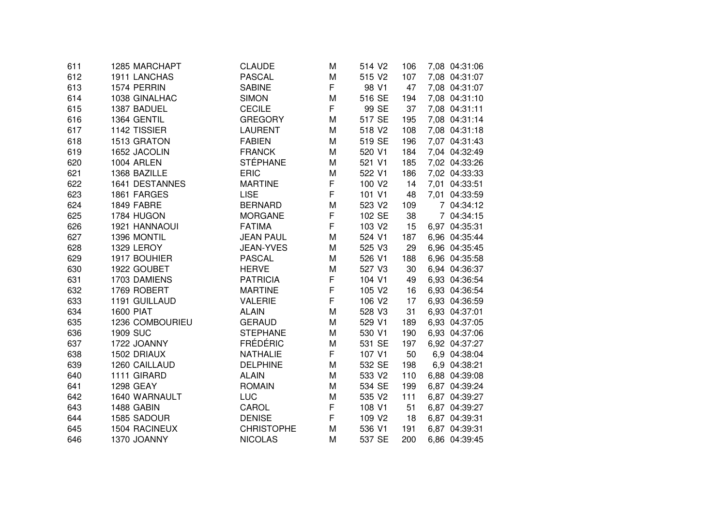| 611 | 1285 MARCHAPT    | <b>CLAUDE</b>     | M | 514 V2             | 106 | 7,08 04:31:06 |
|-----|------------------|-------------------|---|--------------------|-----|---------------|
| 612 | 1911 LANCHAS     | <b>PASCAL</b>     | M | 515 V2             | 107 | 7,08 04:31:07 |
| 613 | 1574 PERRIN      | <b>SABINE</b>     | F | 98 V1              | 47  | 7,08 04:31:07 |
| 614 | 1038 GINALHAC    | <b>SIMON</b>      | M | 516 SE             | 194 | 7,08 04:31:10 |
| 615 | 1387 BADUEL      | <b>CECILE</b>     | F | 99 SE              | 37  | 7,08 04:31:11 |
| 616 | 1364 GENTIL      | <b>GREGORY</b>    | M | 517 SE             | 195 | 7,08 04:31:14 |
| 617 | 1142 TISSIER     | <b>LAURENT</b>    | M | 518 V2             | 108 | 7,08 04:31:18 |
| 618 | 1513 GRATON      | <b>FABIEN</b>     | M | 519 SE             | 196 | 7,07 04:31:43 |
| 619 | 1652 JACOLIN     | <b>FRANCK</b>     | M | 520 V1             | 184 | 7,04 04:32:49 |
| 620 | 1004 ARLEN       | <b>STÉPHANE</b>   | M | 521 V1             | 185 | 7,02 04:33:26 |
| 621 | 1368 BAZILLE     | <b>ERIC</b>       | M | 522 V1             | 186 | 7,02 04:33:33 |
| 622 | 1641 DESTANNES   | <b>MARTINE</b>    | F | 100 V2             | 14  | 7,01 04:33:51 |
| 623 | 1861 FARGES      | <b>LISE</b>       | F | 101 V1             | 48  | 7,01 04:33:59 |
| 624 | 1849 FABRE       | <b>BERNARD</b>    | M | 523 V2             | 109 | 7 04:34:12    |
| 625 | 1784 HUGON       | <b>MORGANE</b>    | F | 102 SE             | 38  | 7 04:34:15    |
| 626 | 1921 HANNAOUI    | <b>FATIMA</b>     | F | 103 V2             | 15  | 6,97 04:35:31 |
| 627 | 1396 MONTIL      | <b>JEAN PAUL</b>  | M | 524 V1             | 187 | 6,96 04:35:44 |
| 628 | 1329 LEROY       | <b>JEAN-YVES</b>  | M | 525 V3             | 29  | 6,96 04:35:45 |
| 629 | 1917 BOUHIER     | <b>PASCAL</b>     | M | 526 V1             | 188 | 6,96 04:35:58 |
| 630 | 1922 GOUBET      | <b>HERVE</b>      | M | 527 V3             | 30  | 6,94 04:36:37 |
| 631 | 1703 DAMIENS     | <b>PATRICIA</b>   | F | 104 V1             | 49  | 6,93 04:36:54 |
| 632 | 1769 ROBERT      | <b>MARTINE</b>    | F | 105 V2             | 16  | 6,93 04:36:54 |
| 633 | 1191 GUILLAUD    | <b>VALERIE</b>    | F | 106 V2             | 17  | 6,93 04:36:59 |
| 634 | <b>1600 PIAT</b> | <b>ALAIN</b>      | M | 528 V3             | 31  | 6,93 04:37:01 |
| 635 | 1236 COMBOURIEU  | <b>GERAUD</b>     | M | 529 V1             | 189 | 6,93 04:37:05 |
| 636 | <b>1909 SUC</b>  | <b>STEPHANE</b>   | M | 530 V1             | 190 | 6,93 04:37:06 |
| 637 | 1722 JOANNY      | <b>FRÉDÉRIC</b>   | M | 531 SE             | 197 | 6,92 04:37:27 |
| 638 | 1502 DRIAUX      | <b>NATHALIE</b>   | F | 107 V1             | 50  | 6,9 04:38:04  |
| 639 | 1260 CAILLAUD    | <b>DELPHINE</b>   | M | 532 SE             | 198 | 6,9 04:38:21  |
| 640 | 1111 GIRARD      | <b>ALAIN</b>      | M | 533 V2             | 110 | 6,88 04:39:08 |
| 641 | <b>1298 GEAY</b> | <b>ROMAIN</b>     | M | 534 SE             | 199 | 6,87 04:39:24 |
| 642 | 1640 WARNAULT    | <b>LUC</b>        | M | 535 V2             | 111 | 6,87 04:39:27 |
| 643 | 1488 GABIN       | CAROL             | F | 108 V1             | 51  | 6,87 04:39:27 |
| 644 | 1585 SADOUR      | <b>DENISE</b>     | F | 109 V <sub>2</sub> | 18  | 6,87 04:39:31 |
| 645 | 1504 RACINEUX    | <b>CHRISTOPHE</b> | M | 536 V1             | 191 | 6,87 04:39:31 |
| 646 | 1370 JOANNY      | <b>NICOLAS</b>    | M | 537 SE             | 200 | 6,86 04:39:45 |
|     |                  |                   |   |                    |     |               |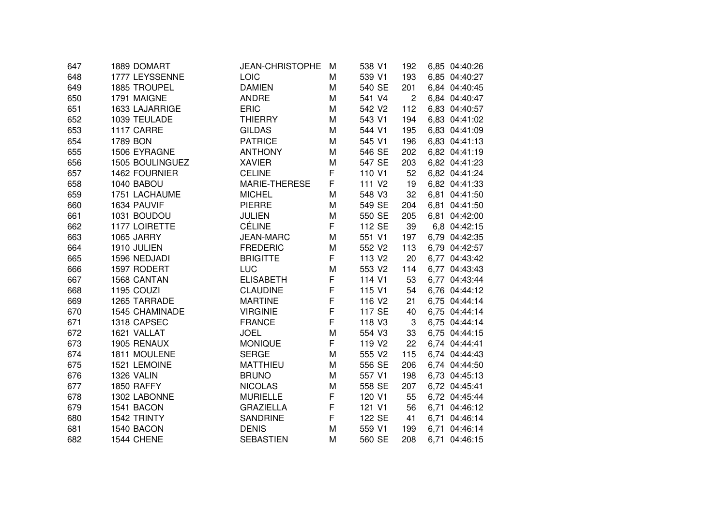| 647 | 1889 DOMART           | <b>JEAN-CHRISTOPHE</b> | м | 538 V1             | 192            | 6,85 04:40:26 |
|-----|-----------------------|------------------------|---|--------------------|----------------|---------------|
| 648 | 1777 LEYSSENNE        | LOIC                   | М | 539 V1             | 193            | 6,85 04:40:27 |
| 649 | 1885 TROUPEL          | <b>DAMIEN</b>          | M | 540 SE             | 201            | 6.84 04:40:45 |
| 650 | 1791 MAIGNE           | <b>ANDRE</b>           | M | 541 V4             | $\overline{2}$ | 6.84 04:40:47 |
| 651 | 1633 LAJARRIGE        | <b>ERIC</b>            | M | 542 V2             | 112            | 6,83 04:40:57 |
| 652 | 1039 TEULADE          | <b>THIERRY</b>         | M | 543 V1             | 194            | 6,83 04:41:02 |
| 653 | 1117 CARRE            | <b>GILDAS</b>          | M | 544 V1             | 195            | 6,83 04:41:09 |
| 654 | 1789 BON              | <b>PATRICE</b>         | M | 545 V1             | 196            | 6,83 04:41:13 |
| 655 | 1506 EYRAGNE          | <b>ANTHONY</b>         | M | 546 SE             | 202            | 6,82 04:41:19 |
| 656 | 1505 BOULINGUEZ       | <b>XAVIER</b>          | M | 547 SE             | 203            | 6,82 04:41:23 |
| 657 | 1462 FOURNIER         | <b>CELINE</b>          | F | 110 V1             | 52             | 6,82 04:41:24 |
| 658 | 1040 BABOU            | MARIE-THERESE          | F | 111 V <sub>2</sub> | 19             | 6,82 04:41:33 |
| 659 | 1751 LACHAUME         | <b>MICHEL</b>          | M | 548 V3             | 32             | 6,81 04:41:50 |
| 660 | 1634 PAUVIF           | <b>PIERRE</b>          | M | 549 SE             | 204            | 6,81 04:41:50 |
| 661 | 1031 BOUDOU           | <b>JULIEN</b>          | M | 550 SE             | 205            | 6,81 04:42:00 |
| 662 | 1177 LOIRETTE         | <b>CÉLINE</b>          | F | 112 SE             | 39             | 6,8 04:42:15  |
| 663 | 1065 JARRY            | <b>JEAN-MARC</b>       | M | 551 V1             | 197            | 6,79 04:42:35 |
| 664 | 1910 JULIEN           | <b>FREDERIC</b>        | M | 552 V2             | 113            | 6,79 04:42:57 |
| 665 | 1596 NEDJADI          | <b>BRIGITTE</b>        | F | 113 V <sub>2</sub> | 20             | 6,77 04:43:42 |
| 666 | 1597 RODERT           | LUC                    | M | 553 V2             | 114            | 6,77 04:43:43 |
| 667 | 1568 CANTAN           | <b>ELISABETH</b>       | F | 114 V1             | 53             | 6,77 04:43:44 |
| 668 | 1195 COUZI            | <b>CLAUDINE</b>        | F | 115 V1             | 54             | 6,76 04:44:12 |
| 669 | 1265 TARRADE          | <b>MARTINE</b>         | F | 116 V <sub>2</sub> | 21             | 6,75 04:44:14 |
| 670 | <b>1545 CHAMINADE</b> | <b>VIRGINIE</b>        | F | 117 SE             | 40             | 6,75 04:44:14 |
| 671 | 1318 CAPSEC           | <b>FRANCE</b>          | F | 118 V3             | 3              | 6,75 04:44:14 |
| 672 | 1621 VALLAT           | <b>JOEL</b>            | M | 554 V3             | 33             | 6,75 04:44:15 |
| 673 | 1905 RENAUX           | <b>MONIQUE</b>         | F | 119 V <sub>2</sub> | 22             | 6,74 04:44:41 |
| 674 | 1811 MOULENE          | <b>SERGE</b>           | M | 555 V2             | 115            | 6,74 04:44:43 |
| 675 | 1521 LEMOINE          | <b>MATTHIEU</b>        | M | 556 SE             | 206            | 6,74 04:44:50 |
| 676 | 1326 VALIN            | <b>BRUNO</b>           | M | 557 V1             | 198            | 6,73 04:45:13 |
| 677 | 1850 RAFFY            | <b>NICOLAS</b>         | М | 558 SE             | 207            | 6,72 04:45:41 |
| 678 | 1302 LABONNE          | <b>MURIELLE</b>        | F | 120 V1             | 55             | 6,72 04:45:44 |
| 679 | 1541 BACON            | <b>GRAZIELLA</b>       | F | 121 V1             | 56             | 6,71 04:46:12 |
| 680 | 1542 TRINTY           | <b>SANDRINE</b>        | F | 122 SE             | 41             | 6,71 04:46:14 |
| 681 | 1540 BACON            | <b>DENIS</b>           | M | 559 V1             | 199            | 6,71 04:46:14 |
| 682 | 1544 CHENE            | <b>SEBASTIEN</b>       | M | 560 SE             | 208            | 6,71 04:46:15 |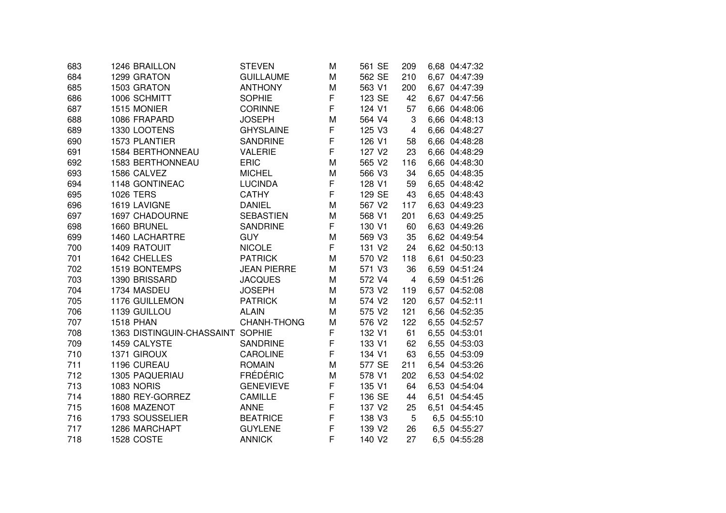| 683 | 1246 BRAILLON                    | <b>STEVEN</b>      | M | 561 SE | 209 | 6,68 04:47:32 |
|-----|----------------------------------|--------------------|---|--------|-----|---------------|
| 684 | 1299 GRATON                      | <b>GUILLAUME</b>   | M | 562 SE | 210 | 6,67 04:47:39 |
| 685 | 1503 GRATON                      | <b>ANTHONY</b>     | M | 563 V1 | 200 | 6,67 04:47:39 |
| 686 | 1006 SCHMITT                     | <b>SOPHIE</b>      | F | 123 SE | 42  | 6,67 04:47:56 |
| 687 | 1515 MONIER                      | CORINNE            | F | 124 V1 | 57  | 6,66 04:48:06 |
| 688 | 1086 FRAPARD                     | <b>JOSEPH</b>      | M | 564 V4 | 3   | 6,66 04:48:13 |
| 689 | 1330 LOOTENS                     | <b>GHYSLAINE</b>   | F | 125 V3 | 4   | 6,66 04:48:27 |
| 690 | 1573 PLANTIER                    | <b>SANDRINE</b>    | F | 126 V1 | 58  | 6,66 04:48:28 |
| 691 | 1584 BERTHONNEAU                 | <b>VALERIE</b>     | F | 127 V2 | 23  | 6,66 04:48:29 |
| 692 | <b>1583 BERTHONNEAU</b>          | <b>ERIC</b>        | M | 565 V2 | 116 | 6,66 04:48:30 |
| 693 | 1586 CALVEZ                      | <b>MICHEL</b>      | M | 566 V3 | 34  | 6,65 04:48:35 |
| 694 | 1148 GONTINEAC                   | <b>LUCINDA</b>     | F | 128 V1 | 59  | 6,65 04:48:42 |
| 695 | <b>1026 TERS</b>                 | CATHY              | F | 129 SE | 43  | 6,65 04:48:43 |
| 696 | 1619 LAVIGNE                     | <b>DANIEL</b>      | M | 567 V2 | 117 | 6,63 04:49:23 |
| 697 | 1697 CHADOURNE                   | <b>SEBASTIEN</b>   | M | 568 V1 | 201 | 6,63 04:49:25 |
| 698 | 1660 BRUNEL                      | <b>SANDRINE</b>    | F | 130 V1 | 60  | 6,63 04:49:26 |
| 699 | 1460 LACHARTRE                   | <b>GUY</b>         | M | 569 V3 | 35  | 6,62 04:49:54 |
| 700 | <b>1409 RATOUIT</b>              | <b>NICOLE</b>      | F | 131 V2 | 24  | 6,62 04:50:13 |
| 701 | 1642 CHELLES                     | <b>PATRICK</b>     | M | 570 V2 | 118 | 6,61 04:50:23 |
| 702 | 1519 BONTEMPS                    | <b>JEAN PIERRE</b> | M | 571 V3 | 36  | 6,59 04:51:24 |
| 703 | 1390 BRISSARD                    | <b>JACQUES</b>     | M | 572 V4 | 4   | 6,59 04:51:26 |
| 704 | 1734 MASDEU                      | <b>JOSEPH</b>      | M | 573 V2 | 119 | 6,57 04:52:08 |
| 705 | 1176 GUILLEMON                   | <b>PATRICK</b>     | M | 574 V2 | 120 | 6,57 04:52:11 |
| 706 | 1139 GUILLOU                     | <b>ALAIN</b>       | M | 575 V2 | 121 | 6,56 04:52:35 |
| 707 | <b>1518 PHAN</b>                 | CHANH-THONG        | M | 576 V2 | 122 | 6,55 04:52:57 |
| 708 | 1363 DISTINGUIN-CHASSAINT SOPHIE |                    | F | 132 V1 | 61  | 6,55 04:53:01 |
| 709 | 1459 CALYSTE                     | <b>SANDRINE</b>    | F | 133 V1 | 62  | 6,55 04:53:03 |
| 710 | 1371 GIROUX                      | <b>CAROLINE</b>    | F | 134 V1 | 63  | 6,55 04:53:09 |
| 711 | 1196 CUREAU                      | <b>ROMAIN</b>      | M | 577 SE | 211 | 6,54 04:53:26 |
| 712 | 1305 PAQUERIAU                   | <b>FRÉDÉRIC</b>    | M | 578 V1 | 202 | 6,53 04:54:02 |
| 713 | <b>1083 NORIS</b>                | <b>GENEVIEVE</b>   | F | 135 V1 | 64  | 6,53 04:54:04 |
| 714 | 1880 REY-GORREZ                  | <b>CAMILLE</b>     | F | 136 SE | 44  | 6,51 04:54:45 |
| 715 | 1608 MAZENOT                     | <b>ANNE</b>        | F | 137 V2 | 25  | 6,51 04:54:45 |
| 716 | 1793 SOUSSELIER                  | <b>BEATRICE</b>    | F | 138 V3 | 5   | 6,5 04:55:10  |
| 717 | 1286 MARCHAPT                    | <b>GUYLENE</b>     | F | 139 V2 | 26  | 6,5 04:55:27  |
| 718 | 1528 COSTE                       | <b>ANNICK</b>      | F | 140 V2 | 27  | 6,5 04:55:28  |
|     |                                  |                    |   |        |     |               |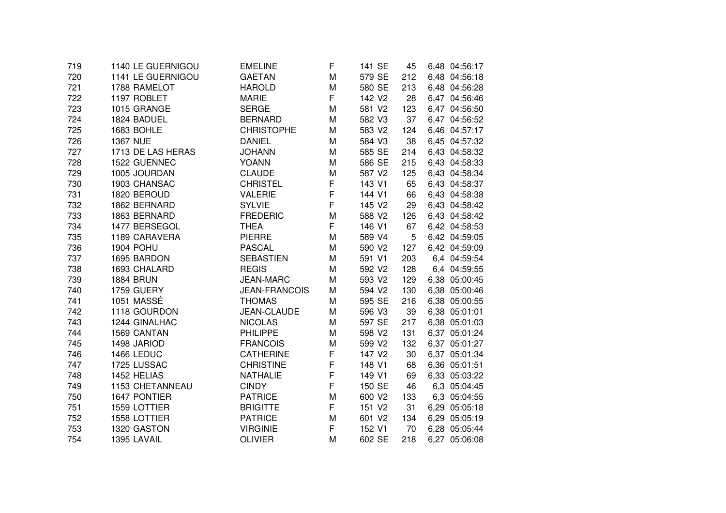| 719 | 1140 LE GUERNIGOU | <b>EMELINE</b>       | F | 141 SE             | 45  | 6,48 04:56:17 |
|-----|-------------------|----------------------|---|--------------------|-----|---------------|
| 720 | 1141 LE GUERNIGOU | <b>GAETAN</b>        | M | 579 SE             | 212 | 6,48 04:56:18 |
| 721 | 1788 RAMELOT      | <b>HAROLD</b>        | M | 580 SE             | 213 | 6,48 04:56:28 |
| 722 | 1197 ROBLET       | <b>MARIE</b>         | F | 142 V <sub>2</sub> | 28  | 6,47 04:56:46 |
| 723 | 1015 GRANGE       | <b>SERGE</b>         | M | 581 V2             | 123 | 6,47 04:56:50 |
| 724 | 1824 BADUEL       | <b>BERNARD</b>       | M | 582 V3             | 37  | 6,47 04:56:52 |
| 725 | 1683 BOHLE        | <b>CHRISTOPHE</b>    | M | 583 V2             | 124 | 6,46 04:57:17 |
| 726 | <b>1367 NUE</b>   | <b>DANIEL</b>        | M | 584 V3             | 38  | 6,45 04:57:32 |
| 727 | 1713 DE LAS HERAS | <b>JOHANN</b>        | М | 585 SE             | 214 | 6,43 04:58:32 |
| 728 | 1522 GUENNEC      | <b>YOANN</b>         | M | 586 SE             | 215 | 6,43 04:58:33 |
| 729 | 1005 JOURDAN      | <b>CLAUDE</b>        | M | 587 V2             | 125 | 6.43 04:58:34 |
| 730 | 1903 CHANSAC      | <b>CHRISTEL</b>      | F | 143 V1             | 65  | 6,43 04:58:37 |
| 731 | 1820 BEROUD       | <b>VALERIE</b>       | F | 144 V1             | 66  | 6,43 04:58:38 |
| 732 | 1862 BERNARD      | <b>SYLVIE</b>        | F | 145 V2             | 29  | 6,43 04:58:42 |
| 733 | 1863 BERNARD      | <b>FREDERIC</b>      | M | 588 V2             | 126 | 6,43 04:58:42 |
| 734 | 1477 BERSEGOL     | <b>THEA</b>          | F | 146 V1             | 67  | 6,42 04:58:53 |
| 735 | 1189 CARAVERA     | <b>PIERRE</b>        | M | 589 V4             | 5   | 6,42 04:59:05 |
| 736 | <b>1904 POHU</b>  | <b>PASCAL</b>        | M | 590 V2             | 127 | 6,42 04:59:09 |
| 737 | 1695 BARDON       | <b>SEBASTIEN</b>     | M | 591 V1             | 203 | 6,4 04:59:54  |
| 738 | 1693 CHALARD      | <b>REGIS</b>         | M | 592 V2             | 128 | 6,4 04:59:55  |
| 739 | <b>1884 BRUN</b>  | <b>JEAN-MARC</b>     | M | 593 V2             | 129 | 6,38 05:00:45 |
| 740 | 1759 GUERY        | <b>JEAN-FRANCOIS</b> | M | 594 V2             | 130 | 6,38 05:00:46 |
| 741 | 1051 MASSÉ        | <b>THOMAS</b>        | M | 595 SE             | 216 | 6,38 05:00:55 |
| 742 | 1118 GOURDON      | <b>JEAN-CLAUDE</b>   | M | 596 V3             | 39  | 6,38 05:01:01 |
| 743 | 1244 GINALHAC     | <b>NICOLAS</b>       | M | 597 SE             | 217 | 6,38 05:01:03 |
| 744 | 1569 CANTAN       | <b>PHILIPPE</b>      | M | 598 V2             | 131 | 6,37 05:01:24 |
| 745 | 1498 JARIOD       | <b>FRANCOIS</b>      | M | 599 V2             | 132 | 6,37 05:01:27 |
| 746 | 1466 LEDUC        | <b>CATHERINE</b>     | F | 147 V2             | 30  | 6.37 05:01:34 |
| 747 | 1725 LUSSAC       | <b>CHRISTINE</b>     | F | 148 V1             | 68  | 6,36 05:01:51 |
| 748 | 1452 HELIAS       | <b>NATHALIE</b>      | F | 149 V1             | 69  | 6,33 05:03:22 |
| 749 | 1153 CHETANNEAU   | <b>CINDY</b>         | F | 150 SE             | 46  | 6,3 05:04:45  |
| 750 | 1647 PONTIER      | <b>PATRICE</b>       | M | 600 V2             | 133 | 6,3 05:04:55  |
| 751 | 1559 LOTTIER      | <b>BRIGITTE</b>      | F | 151 V2             | 31  | 6,29 05:05:18 |
| 752 | 1558 LOTTIER      | <b>PATRICE</b>       | M | 601 V2             | 134 | 6,29 05:05:19 |
| 753 | 1320 GASTON       | <b>VIRGINIE</b>      | F | 152 V1             | 70  | 6,28 05:05:44 |
| 754 | 1395 LAVAIL       | <b>OLIVIER</b>       | M | 602 SE             | 218 | 6,27 05:06:08 |